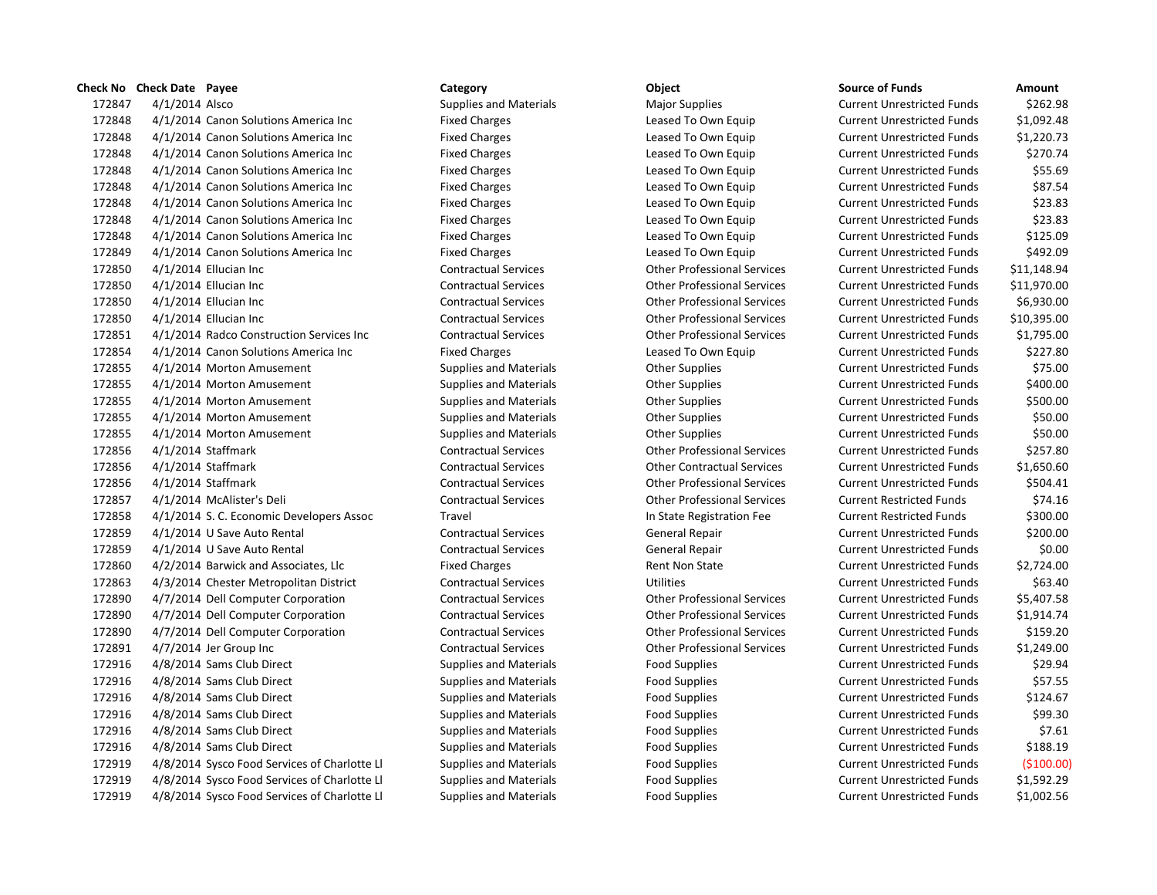## **Check No Check Date Payee Category Category Category Category Category Category Category Check No Check No Check Date Cancelle Contract Amount**

172847 4/1/2014 Alsco Supplies and Materials Major Supplies Magazines Current Unrestricted Funds 5262.98 4/1/2014 Canon Solutions America Inc Fixed Charges Leased To Own Equip Current Unrestricted Funds \$1,092.48 4/1/2014 Canon Solutions America Inc Fixed Charges Leased To Own Equip Current Unrestricted Funds \$1,220.73 4/1/2014 Canon Solutions America Inc Fixed Charges Leased To Own Equip Current Unrestricted Funds \$270.74 4/1/2014 Canon Solutions America Inc Fixed Charges Leased To Own Equip Current Unrestricted Funds \$55.69 4/1/2014 Canon Solutions America Inc Fixed Charges Leased To Own Equip Current Unrestricted Funds \$87.54 4/1/2014 Canon Solutions America Inc Fixed Charges Leased To Own Equip Current Unrestricted Funds \$23.83 4/1/2014 Canon Solutions America Inc Fixed Charges Leased To Own Equip Current Unrestricted Funds \$23.83 4/1/2014 Canon Solutions America Inc Fixed Charges Leased To Own Equip Current Unrestricted Funds \$125.09 4/1/2014 Canon Solutions America Inc Fixed Charges Leased To Own Equip Current Unrestricted Funds \$492.09 4/1/2014 Ellucian Inc Contractual Services Other Professional Services Current Unrestricted Funds \$11,148.94 4/1/2014 Ellucian Inc Contractual Services Other Professional Services Current Unrestricted Funds \$11,970.00 4/1/2014 Ellucian Inc Contractual Services Other Professional Services Current Unrestricted Funds \$6,930.00 4/1/2014 Ellucian Inc Contractual Services Other Professional Services Current Unrestricted Funds \$10,395.00 4/1/2014 Radco Construction Services Inc Contractual Services Other Professional Services Current Unrestricted Funds \$1,795.00 172854 4/1/2014 Canon Solutions America Inc Fixed Charges Leased To Own Equip Current Unrestricted Funds \$227.80 4/1/2014 Morton Amusement Supplies and Materials Other Supplies Current Unrestricted Funds \$75.00 4/1/2014 Morton Amusement Supplies and Materials Other Supplies Current Unrestricted Funds \$400.00 4/1/2014 Morton Amusement Supplies and Materials Other Supplies Current Unrestricted Funds \$500.00 4/1/2014 Morton Amusement Supplies and Materials Other Supplies Current Unrestricted Funds \$50.00 4/1/2014 Morton Amusement Supplies and Materials Other Supplies Current Unrestricted Funds \$50.00 4/1/2014 Staffmark Contractual Services Other Professional Services Current Unrestricted Funds \$257.80 4/1/2014 Staffmark Contractual Services Other Contractual Services Current Unrestricted Funds \$1,650.60 4/1/2014 Staffmark Contractual Services Other Professional Services Current Unrestricted Funds \$504.41 4/1/2014 McAlister's Deli Contractual Services Other Professional Services Current Restricted Funds \$74.16 4/1/2014 S. C. Economic Developers Assoc Travel In State Registration Fee Current Restricted Funds \$300.00 4/1/2014 U Save Auto Rental Contractual Services General Repair Current Unrestricted Funds \$200.00 4/1/2014 U Save Auto Rental Contractual Services General Repair Current Unrestricted Funds \$0.00 4/2/2014 Barwick and Associates, Llc Fixed Charges Rent Non State Current Unrestricted Funds \$2,724.00 4/3/2014 Chester Metropolitan District Contractual Services Utilities Current Unrestricted Funds \$63.40 4/7/2014 Dell Computer Corporation Contractual Services Other Professional Services Current Unrestricted Funds \$5,407.58 4/7/2014 Dell Computer Corporation Contractual Services Other Professional Services Current Unrestricted Funds \$1,914.74 4/7/2014 Dell Computer Corporation Contractual Services Other Professional Services Current Unrestricted Funds \$159.20 4/7/2014 Jer Group Inc Contractual Services Other Professional Services Current Unrestricted Funds \$1,249.00 4/8/2014 Sams Club Direct Supplies and Materials Food Supplies Current Unrestricted Funds \$29.94 4/8/2014 Sams Club Direct Supplies and Materials Food Supplies Current Unrestricted Funds \$57.55 4/8/2014 Sams Club Direct Supplies and Materials Food Supplies Current Unrestricted Funds \$124.67 4/8/2014 Sams Club Direct Supplies and Materials Food Supplies Current Unrestricted Funds \$99.30 4/8/2014 Sams Club Direct Supplies and Materials Food Supplies Current Unrestricted Funds \$7.61 4/8/2014 Sams Club Direct Supplies and Materials Food Supplies Current Unrestricted Funds \$188.19 4/8/2014 Sysco Food Services of Charlotte Ll Supplies and Materials Food Supplies Current Unrestricted Funds (\$100.00) 4/8/2014 Sysco Food Services of Charlotte Ll Supplies and Materials Food Supplies Current Unrestricted Funds \$1,592.29 4/8/2014 Sysco Food Services of Charlotte Ll Supplies and Materials Food Supplies Current Unrestricted Funds \$1,002.56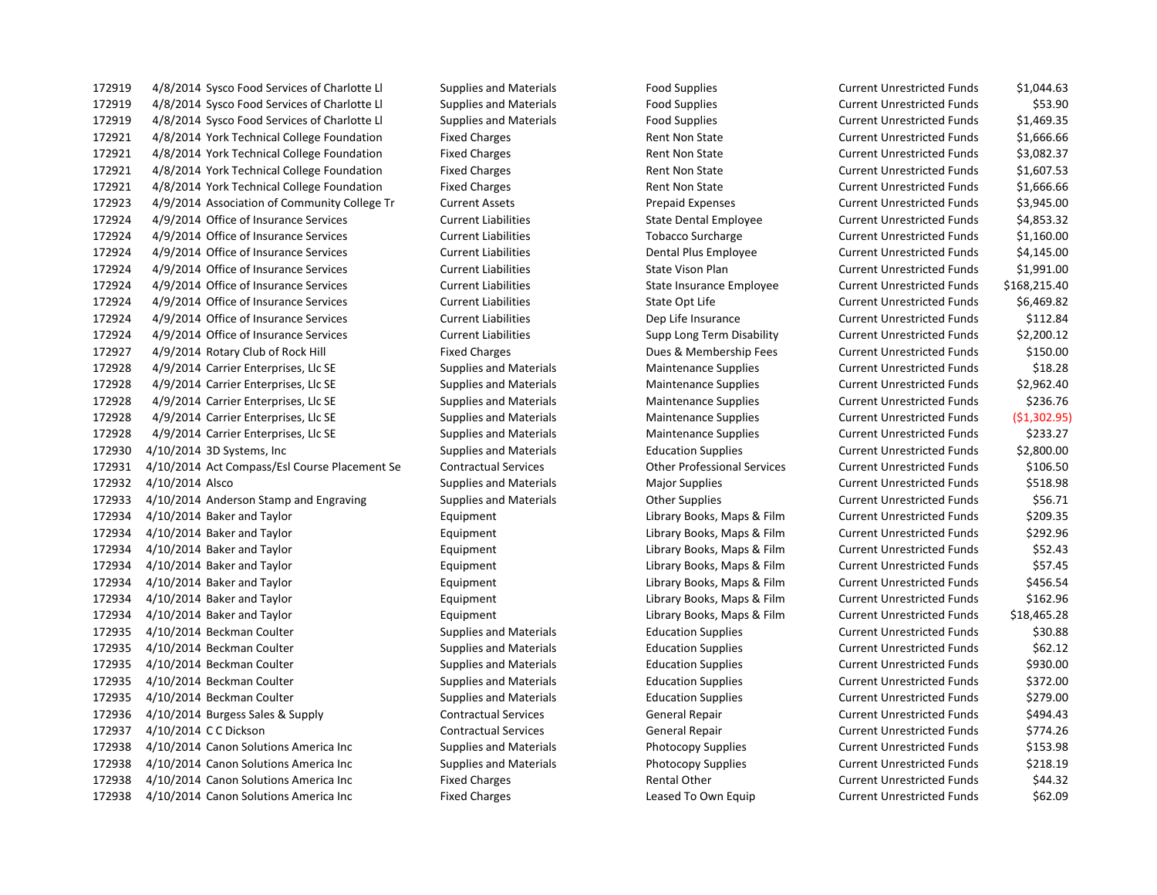4/8/2014 Sysco Food Services of Charlotte Ll Supplies and Materials Food Supplies Current Unrestricted Funds \$1,044.63 4/8/2014 Sysco Food Services of Charlotte Ll Supplies and Materials Food Supplies Current Unrestricted Funds \$53.90 4/8/2014 Sysco Food Services of Charlotte Ll Supplies and Materials Food Supplies Current Unrestricted Funds \$1,469.35 4/8/2014 York Technical College Foundation Fixed Charges Rent Non State Current Unrestricted Funds \$1,666.66 4/8/2014 York Technical College Foundation Fixed Charges Rent Non State Current Unrestricted Funds \$3,082.37 4/8/2014 York Technical College Foundation Fixed Charges Rent Non State Current Unrestricted Funds \$1,607.53 4/8/2014 York Technical College Foundation Fixed Charges Rent Non State Current Unrestricted Funds \$1,666.66 4/9/2014 Association of Community College Tr Current Assets Prepaid Expenses Current Unrestricted Funds \$3,945.00 4/9/2014 Office of Insurance Services Current Liabilities State Dental Employee Current Unrestricted Funds \$4,853.32 4/9/2014 Office of Insurance Services Current Liabilities Tobacco Surcharge Current Unrestricted Funds \$1,160.00 4/9/2014 Office of Insurance Services Current Liabilities Dental Plus Employee Current Unrestricted Funds \$4,145.00 4/9/2014 Office of Insurance Services Current Liabilities State Vison Plan Current Unrestricted Funds \$1,991.00 4/9/2014 Office of Insurance Services Current Liabilities State Insurance Employee Current Unrestricted Funds \$168,215.40 4/9/2014 Office of Insurance Services Current Liabilities State Opt Life Current Unrestricted Funds \$6,469.82 4/9/2014 Office of Insurance Services Current Liabilities Dep Life Insurance Current Unrestricted Funds \$112.84 4/9/2014 Office of Insurance Services Current Liabilities Supp Long Term Disability Current Unrestricted Funds \$2,200.12 4/9/2014 Rotary Club of Rock Hill Fixed Charges Dues & Membership Fees Current Unrestricted Funds \$150.00 172928 4/9/2014 Carrier Enterprises, Llc SE Supplies and Materials Maintenance Supplies Current Unrestricted Funds \$18.28 172928 4/9/2014 Carrier Enterprises, Llc SE Supplies and Materials Maintenance Supplies Current Unrestricted Funds \$2,962.40 172928 4/9/2014 Carrier Enterprises, Llc SE Supplies and Materials Maintenance Supplies Current Unrestricted Funds \$236.76 4/9/2014 Carrier Enterprises, Llc SE Supplies and Materials Maintenance Supplies Current Unrestricted Funds (\$1,302.95) 172928 4/9/2014 Carrier Enterprises, Llc SE Supplies and Materials Maintenance Supplies Current Unrestricted Funds \$233.27 4/10/2014 3D Systems, Inc Supplies and Materials Education Supplies Current Unrestricted Funds \$2,800.00 4/10/2014 Act Compass/Esl Course Placement Se Contractual Services Other Professional Services Current Unrestricted Funds \$106.50 172932 4/10/2014 Alsco Supplies and Materials Major Supplies Magior Supplies Current Unrestricted Funds 5518.98 172933 4/10/2014 Anderson Stamp and Engraving Supplies and Materials Current Unrestricted Funds 556.71 4/10/2014 Baker and Taylor Equipment Library Books, Maps & Film Current Unrestricted Funds \$209.35 4/10/2014 Baker and Taylor Equipment Library Books, Maps & Film Current Unrestricted Funds \$292.96 4/10/2014 Baker and Taylor Equipment Library Books, Maps & Film Current Unrestricted Funds \$52.43 4/10/2014 Baker and Taylor Equipment Library Books, Maps & Film Current Unrestricted Funds \$57.45 4/10/2014 Baker and Taylor Equipment Library Books, Maps & Film Current Unrestricted Funds \$456.54 4/10/2014 Baker and Taylor Equipment Library Books, Maps & Film Current Unrestricted Funds \$162.96 4/10/2014 Baker and Taylor Equipment Library Books, Maps & Film Current Unrestricted Funds \$18,465.28 4/10/2014 Beckman Coulter Supplies and Materials Education Supplies Current Unrestricted Funds \$30.88 4/10/2014 Beckman Coulter Supplies and Materials Education Supplies Current Unrestricted Funds \$62.12 172935 4/10/2014 Beckman Coulter Supplies and Materials Education Supplies Current Unrestricted Funds \$930.00 4/10/2014 Beckman Coulter Supplies and Materials Education Supplies Current Unrestricted Funds \$372.00 4/10/2014 Beckman Coulter Supplies and Materials Education Supplies Current Unrestricted Funds \$279.00 4/10/2014 Burgess Sales & Supply Contractual Services General Repair Current Unrestricted Funds \$494.43 4/10/2014 C C Dickson Contractual Services General Repair Current Unrestricted Funds \$774.26 4/10/2014 Canon Solutions America Inc Supplies and Materials Photocopy Supplies Current Unrestricted Funds \$153.98 4/10/2014 Canon Solutions America Inc Supplies and Materials Photocopy Supplies Current Unrestricted Funds \$218.19 172938 4/10/2014 Canon Solutions America Inc Fixed Charges Fixed Charges Rental Other Current Unrestricted Funds \$44.32 4/10/2014 Canon Solutions America Inc Fixed Charges Leased To Own Equip Current Unrestricted Funds \$62.09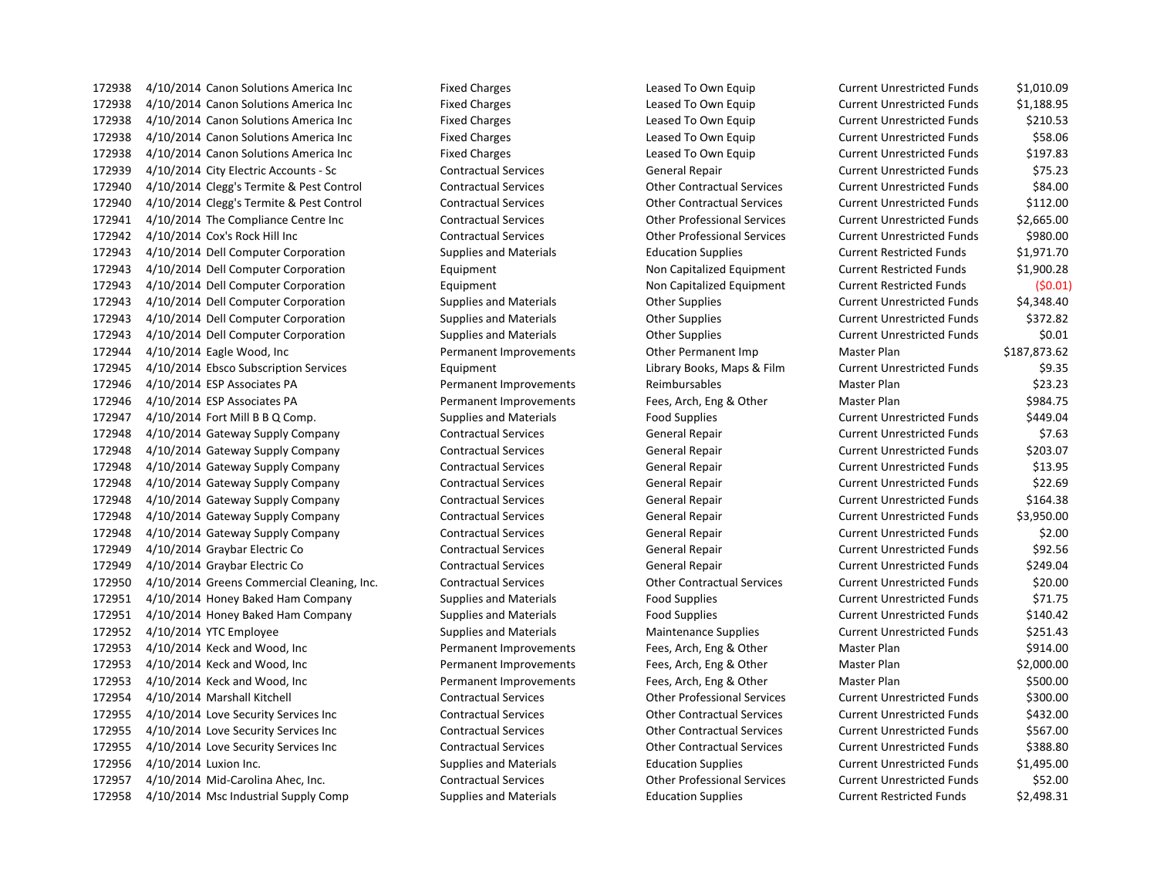4/10/2014 Canon Solutions America Inc Fixed Charges Leased To Own Equip Current Unrestricted Funds \$1,188.95 4/10/2014 Canon Solutions America Inc Fixed Charges Leased To Own Equip Current Unrestricted Funds \$210.53 4/10/2014 Canon Solutions America Inc Fixed Charges Leased To Own Equip Current Unrestricted Funds \$58.06 4/10/2014 Canon Solutions America Inc Fixed Charges Leased To Own Equip Current Unrestricted Funds \$197.83 4/10/2014 City Electric Accounts - Sc Contractual Services General Repair Current Unrestricted Funds \$75.23 4/10/2014 Clegg's Termite & Pest Control Contractual Services Other Contractual Services Current Unrestricted Funds \$84.00 4/10/2014 Clegg's Termite & Pest Control Contractual Services Other Contractual Services Current Unrestricted Funds \$112.00 4/10/2014 The Compliance Centre Inc Contractual Services Other Professional Services Current Unrestricted Funds \$2,665.00 4/10/2014 Cox's Rock Hill Inc Contractual Services Other Professional Services Current Unrestricted Funds \$980.00 4/10/2014 Dell Computer Corporation Supplies and Materials Education Supplies Current Restricted Funds \$1,971.70 4/10/2014 Dell Computer Corporation Equipment Non Capitalized Equipment Current Restricted Funds \$1,900.28 4/10/2014 Dell Computer Corporation Equipment Non Capitalized Equipment Current Restricted Funds (\$0.01) 4/10/2014 Dell Computer Corporation Supplies and Materials Other Supplies Current Unrestricted Funds \$4,348.40 4/10/2014 Dell Computer Corporation Supplies and Materials Other Supplies Current Unrestricted Funds \$372.82 4/10/2014 Dell Computer Corporation Supplies and Materials Other Supplies Current Unrestricted Funds \$0.01 4/10/2014 Eagle Wood, Inc Permanent Improvements Other Permanent Imp Master Plan \$187,873.62 4/10/2014 Ebsco Subscription Services Equipment Library Books, Maps & Film Current Unrestricted Funds \$9.35 4/10/2014 ESP Associates PA Permanent Improvements Reimbursables Master Plan \$23.23 4/10/2014 ESP Associates PA Permanent Improvements Fees, Arch, Eng & Other Master Plan \$984.75 4/10/2014 Fort Mill B B Q Comp. Supplies and Materials Food Supplies Current Unrestricted Funds \$449.04 4/10/2014 Gateway Supply Company Contractual Services General Repair Current Unrestricted Funds \$7.63 4/10/2014 Gateway Supply Company Contractual Services General Repair Current Unrestricted Funds \$203.07 4/10/2014 Gateway Supply Company Contractual Services General Repair Current Unrestricted Funds \$13.95 4/10/2014 Gateway Supply Company Contractual Services General Repair Current Unrestricted Funds \$22.69 4/10/2014 Gateway Supply Company Contractual Services General Repair Current Unrestricted Funds \$164.38 4/10/2014 Gateway Supply Company Contractual Services General Repair Current Unrestricted Funds \$3,950.00 4/10/2014 Gateway Supply Company Contractual Services General Repair Current Unrestricted Funds \$2.00 4/10/2014 Graybar Electric Co Contractual Services General Repair Current Unrestricted Funds \$92.56 4/10/2014 Graybar Electric Co Contractual Services General Repair Current Unrestricted Funds \$249.04 4/10/2014 Greens Commercial Cleaning, Inc. Contractual Services Other Contractual Services Current Unrestricted Funds \$20.00 4/10/2014 Honey Baked Ham Company Supplies and Materials Food Supplies Current Unrestricted Funds \$71.75 4/10/2014 Honey Baked Ham Company Supplies and Materials Food Supplies Current Unrestricted Funds \$140.42 172952 4/10/2014 YTC Employee Supplies and Materials Maintenance Supplies Current Unrestricted Funds \$251.43 4/10/2014 Keck and Wood, Inc Permanent Improvements Fees, Arch, Eng & Other Master Plan \$914.00 4/10/2014 Keck and Wood, Inc Permanent Improvements Fees, Arch, Eng & Other Master Plan \$2,000.00 4/10/2014 Keck and Wood, Inc Permanent Improvements Fees, Arch, Eng & Other Master Plan \$500.00 4/10/2014 Marshall Kitchell Contractual Services Other Professional Services Current Unrestricted Funds \$300.00 4/10/2014 Love Security Services Inc Contractual Services Other Contractual Services Current Unrestricted Funds \$432.00 4/10/2014 Love Security Services Inc Contractual Services Other Contractual Services Current Unrestricted Funds \$567.00 4/10/2014 Love Security Services Inc Contractual Services Other Contractual Services Current Unrestricted Funds \$388.80 4/10/2014 Luxion Inc. Supplies and Materials Education Supplies Current Unrestricted Funds \$1,495.00 4/10/2014 Mid-Carolina Ahec, Inc. Contractual Services Other Professional Services Current Unrestricted Funds \$52.00 4/10/2014 Msc Industrial Supply Comp Supplies and Materials Education Supplies Current Restricted Funds \$2,498.31

4/10/2014 Canon Solutions America Inc Fixed Charges Leased To Own Equip Current Unrestricted Funds \$1,010.09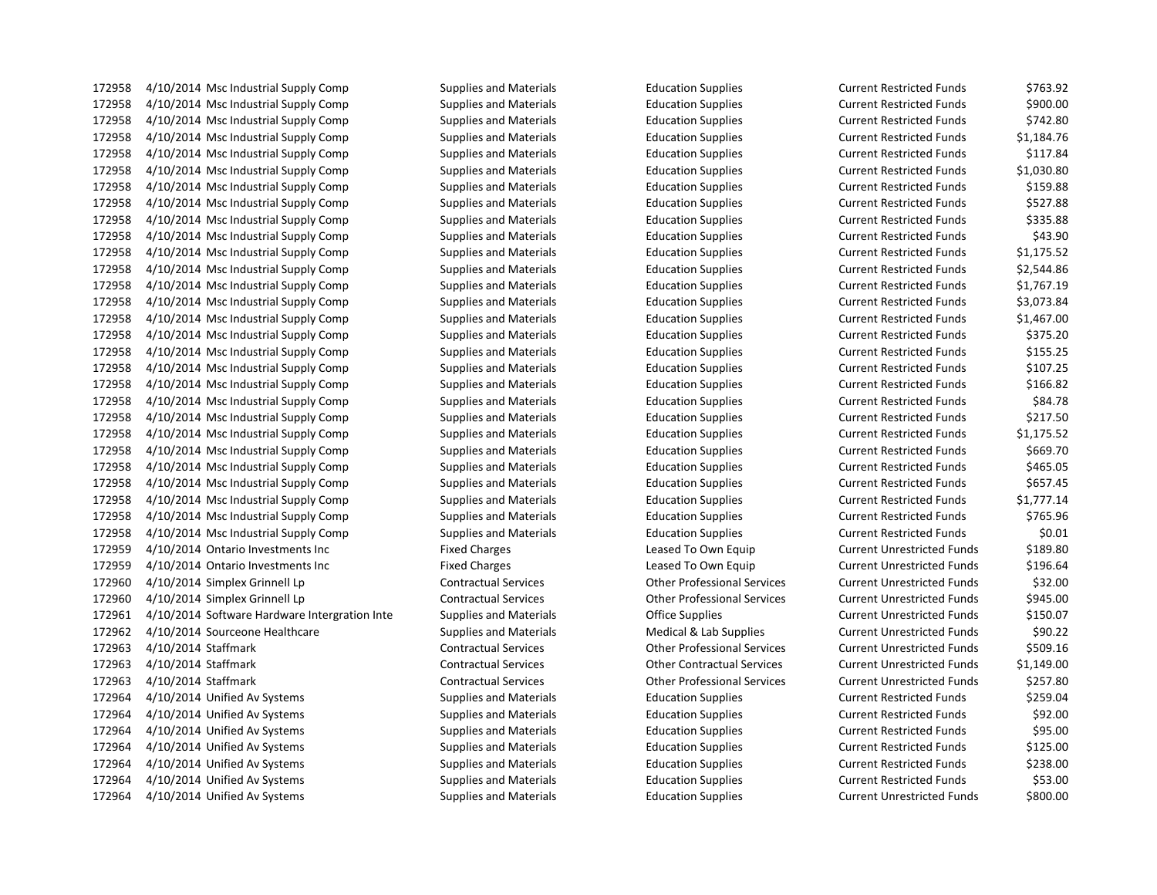172958 4/10/2014 Msc Industrial Supply Comp Supplies and Materials Education Supplies 172958 4/10/2014 Msc Industrial Supply Comp Supplies and Materials Education Supplies 172958 4/10/2014 Msc Industrial Supply Comp Supplies and Materials Education Supplies 172958 4/10/2014 Msc Industrial Supply Comp Supplies and Materials Education Supplies 172958 4/10/2014 Msc Industrial Supply Comp Supplies and Materials Education Supplies 172958 4/10/2014 Msc Industrial Supply Comp Supplies and Materials Education Supplies 172958 4/10/2014 Msc Industrial Supply Comp Supplies and Materials Education Supplies 172958 4/10/2014 Msc Industrial Supply Comp Supplies and Materials Education Supplies 172958 4/10/2014 Msc Industrial Supply Comp Supplies and Materials Education Supplies 172958 4/10/2014 Msc Industrial Supply Comp Supplies and Materials Education Supplies 172958 4/10/2014 Msc Industrial Supply Comp Supplies and Materials Education Supplies 172958 4/10/2014 Msc Industrial Supply Comp Supplies and Materials Education Supplies 172958 4/10/2014 Msc Industrial Supply Comp Supplies and Materials Education Supplies 172958 4/10/2014 Msc Industrial Supply Comp Supplies and Materials Education Supplies 172958 4/10/2014 Msc Industrial Supply Comp Supplies and Materials Education Supplies 172958 4/10/2014 Msc Industrial Supply Comp Supplies and Materials Education Supplies 172958 4/10/2014 Msc Industrial Supply Comp Supplies and Materials Education Supplies 172958 4/10/2014 Msc Industrial Supply Comp Supplies and Materials Education Supplies 172958 4/10/2014 Msc Industrial Supply Comp Supplies and Materials Education Supplies 172958 4/10/2014 Msc Industrial Supply Comp Supplies and Materials Education Supplies 172958 4/10/2014 Msc Industrial Supply Comp Supplies and Materials Education Supplies 172958 4/10/2014 Msc Industrial Supply Comp Supplies and Materials Education Supplies 172958 4/10/2014 Msc Industrial Supply Comp Supplies and Materials Education Supplies 172958 4/10/2014 Msc Industrial Supply Comp Supplies and Materials Education Supplies 172958 4/10/2014 Msc Industrial Supply Comp Supplies and Materials Education Supplies 172958 4/10/2014 Msc Industrial Supply Comp Supplies and Materials Education Supplies 172958 4/10/2014 Msc Industrial Supply Comp Supplies and Materials Education Supplies 172958 4/10/2014 Msc Industrial Supply Comp Supplies and Materials Education Supplies Current Restricted Funds 172959 4/10/2014 Ontario Investments Inc Fixed Charges Eleased To Own Equip 172959 4/10/2014 Ontario Investments Inc Fixed Charges Eleased To Own Equip 172960 4/10/2014 Simplex Grinnell Lp Contractual Services Other Professional Services 172960 4/10/2014 Simplex Grinnell Lp Contractual Services Other Professional Services 172961 4/10/2014 Software Hardware Intergration Inte Supplies and Materials Chice Supplies 172962 4/10/2014 Sourceone Healthcare Supplies and Materials Medical & Lab Supplies Current Unrestricted Funds 172963 4/10/2014 Staffmark Contractual Services Contractual Services Other Professional Services 172963 4/10/2014 Staffmark Contractual Services Other Contractual Services Current Unrestricted Funds \$1,149.00 172963 4/10/2014 Staffmark Contractual Services Contractual Services Other Professional Services 172964 4/10/2014 Unified Av Systems Supplies and Materials Education Supplies 172964 4/10/2014 Unified Av Systems Supplies and Materials Education Supplies 172964 4/10/2014 Unified Av Systems Supplies and Materials Education Supplies 172964 4/10/2014 Unified Av Systems Supplies and Materials Education Supplies 172964 4/10/2014 Unified Av Systems Supplies and Materials Education Supplies 172964 4/10/2014 Unified Av Systems Supplies and Materials Education Supplies 172964 4/10/2014 Unified Av Systems Supplies and Materials Education Supplies

| Current Restricted Funds          | 5763.92    |
|-----------------------------------|------------|
| <b>Current Restricted Funds</b>   | \$900.00   |
| <b>Current Restricted Funds</b>   | \$742.80   |
| <b>Current Restricted Funds</b>   | \$1,184.76 |
| <b>Current Restricted Funds</b>   | \$117.84   |
| <b>Current Restricted Funds</b>   | \$1,030.80 |
| <b>Current Restricted Funds</b>   | \$159.88   |
| <b>Current Restricted Funds</b>   | \$527.88   |
| <b>Current Restricted Funds</b>   | \$335.88   |
| <b>Current Restricted Funds</b>   | \$43.90    |
| <b>Current Restricted Funds</b>   | \$1,175.52 |
| <b>Current Restricted Funds</b>   | \$2,544.86 |
| <b>Current Restricted Funds</b>   | \$1,767.19 |
| <b>Current Restricted Funds</b>   | \$3,073.84 |
| <b>Current Restricted Funds</b>   | \$1,467.00 |
| <b>Current Restricted Funds</b>   | \$375.20   |
| <b>Current Restricted Funds</b>   | \$155.25   |
| <b>Current Restricted Funds</b>   | \$107.25   |
| <b>Current Restricted Funds</b>   | \$166.82   |
| <b>Current Restricted Funds</b>   | \$84.78    |
| <b>Current Restricted Funds</b>   | \$217.50   |
| <b>Current Restricted Funds</b>   | \$1,175.52 |
| <b>Current Restricted Funds</b>   | \$669.70   |
| <b>Current Restricted Funds</b>   | \$465.05   |
| <b>Current Restricted Funds</b>   | \$657.45   |
| <b>Current Restricted Funds</b>   | \$1,777.14 |
| <b>Current Restricted Funds</b>   | \$765.96   |
| <b>Current Restricted Funds</b>   | \$0.01     |
| <b>Current Unrestricted Funds</b> | \$189.80   |
| <b>Current Unrestricted Funds</b> | \$196.64   |
| <b>Current Unrestricted Funds</b> | \$32.00    |
| <b>Current Unrestricted Funds</b> | \$945.00   |
| <b>Current Unrestricted Funds</b> | \$150.07   |
| <b>Current Unrestricted Funds</b> | \$90.22    |
| <b>Current Unrestricted Funds</b> | \$509.16   |
| <b>Current Unrestricted Funds</b> | \$1,149.00 |
| <b>Current Unrestricted Funds</b> | \$257.80   |
| <b>Current Restricted Funds</b>   | \$259.04   |
| <b>Current Restricted Funds</b>   | \$92.00    |
| <b>Current Restricted Funds</b>   | \$95.00    |
| <b>Current Restricted Funds</b>   | \$125.00   |
| <b>Current Restricted Funds</b>   | \$238.00   |
| <b>Current Restricted Funds</b>   | \$53.00    |
| <b>Current Unrestricted Funds</b> | \$800.00   |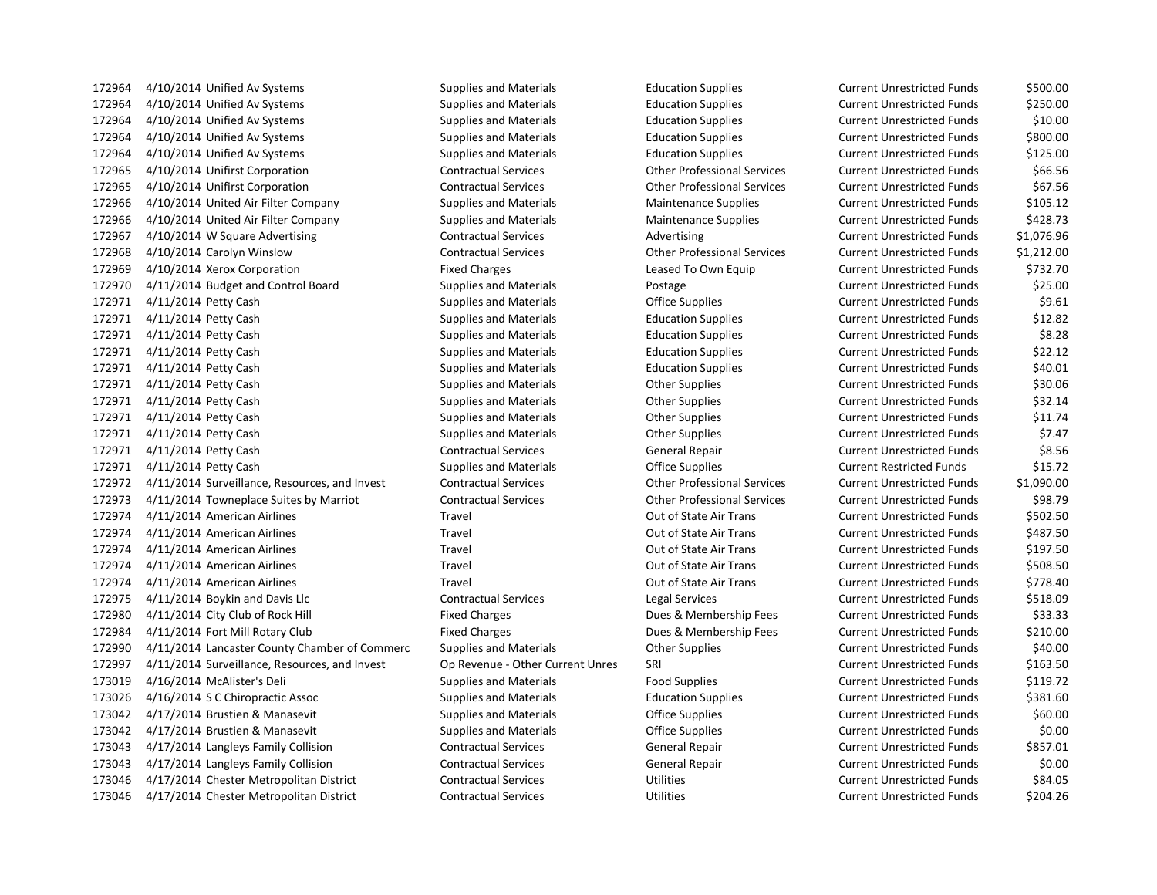4/10/2014 Unified Av Systems Supplies and Materials Education Supplies Current Unrestricted Funds \$500.00 4/10/2014 Unified Av Systems Supplies and Materials Education Supplies Current Unrestricted Funds \$250.00 4/10/2014 Unified Av Systems Supplies and Materials Education Supplies Current Unrestricted Funds \$10.00 4/10/2014 Unified Av Systems Supplies and Materials Education Supplies Current Unrestricted Funds \$800.00 4/10/2014 Unified Av Systems Supplies and Materials Education Supplies Current Unrestricted Funds \$125.00 4/10/2014 Unifirst Corporation Contractual Services Other Professional Services Current Unrestricted Funds \$66.56 4/10/2014 Unifirst Corporation Contractual Services Other Professional Services Current Unrestricted Funds \$67.56 4/10/2014 United Air Filter Company Supplies and Materials Maintenance Supplies Current Unrestricted Funds \$105.12 4/10/2014 United Air Filter Company Supplies and Materials Maintenance Supplies Current Unrestricted Funds \$428.73 172967 4/10/2014 W Square Advertising Contractual Services Advertising Current Unrestricted Funds \$1,076.96 4/10/2014 Carolyn Winslow Contractual Services Other Professional Services Current Unrestricted Funds \$1,212.00 4/10/2014 Xerox Corporation Fixed Charges Leased To Own Equip Current Unrestricted Funds \$732.70 4/11/2014 Budget and Control Board Supplies and Materials Postage Current Unrestricted Funds \$25.00 172971 4/11/2014 Petty Cash Supplies and Materials Coffice Supplies Current Unrestricted Funds 59.61 4/11/2014 Petty Cash Supplies and Materials Education Supplies Current Unrestricted Funds \$12.82 4/11/2014 Petty Cash Supplies and Materials Education Supplies Current Unrestricted Funds \$8.28 4/11/2014 Petty Cash Supplies and Materials Education Supplies Current Unrestricted Funds \$22.12 4/11/2014 Petty Cash Supplies and Materials Education Supplies Current Unrestricted Funds \$40.01 4/11/2014 Petty Cash Supplies and Materials Other Supplies Current Unrestricted Funds \$30.06 4/11/2014 Petty Cash Supplies and Materials Other Supplies Current Unrestricted Funds \$32.14 4/11/2014 Petty Cash Supplies and Materials Other Supplies Current Unrestricted Funds \$11.74 172971 4/11/2014 Petty Cash Supplies and Materials Current Unrestricted Funds \$7.47 4/11/2014 Petty Cash Contractual Services General Repair Current Unrestricted Funds \$8.56 4/11/2014 Petty Cash Supplies and Materials Office Supplies Current Restricted Funds \$15.72 4/11/2014 Surveillance, Resources, and Invest Contractual Services Other Professional Services Current Unrestricted Funds \$1,090.00 4/11/2014 Towneplace Suites by Marriot Contractual Services Other Professional Services Current Unrestricted Funds \$98.79 4/11/2014 American Airlines Travel Out of State Air Trans Current Unrestricted Funds \$502.50 4/11/2014 American Airlines Travel Out of State Air Trans Current Unrestricted Funds \$487.50 4/11/2014 American Airlines Travel Out of State Air Trans Current Unrestricted Funds \$197.50 4/11/2014 American Airlines Travel Out of State Air Trans Current Unrestricted Funds \$508.50 4/11/2014 American Airlines Travel Out of State Air Trans Current Unrestricted Funds \$778.40 4/11/2014 Boykin and Davis Llc Contractual Services Legal Services Current Unrestricted Funds \$518.09 172980 4/11/2014 City Club of Rock Hill Fixed Charges Fixed Charges Dues & Membership Fees Current Unrestricted Funds \$33.33 4/11/2014 Fort Mill Rotary Club Fixed Charges Dues & Membership Fees Current Unrestricted Funds \$210.00 4/11/2014 Lancaster County Chamber of Commerc Supplies and Materials Other Supplies Current Unrestricted Funds \$40.00 4/11/2014 Surveillance, Resources, and Invest Op Revenue - Other Current Unres SRI Current Unrestricted Funds \$163.50 4/16/2014 McAlister's Deli Supplies and Materials Food Supplies Current Unrestricted Funds \$119.72 4/16/2014 S C Chiropractic Assoc Supplies and Materials Education Supplies Current Unrestricted Funds \$381.60 4/17/2014 Brustien & Manasevit Supplies and Materials Office Supplies Current Unrestricted Funds \$60.00 4/17/2014 Brustien & Manasevit Supplies and Materials Office Supplies Current Unrestricted Funds \$0.00 4/17/2014 Langleys Family Collision Contractual Services General Repair Current Unrestricted Funds \$857.01 4/17/2014 Langleys Family Collision Contractual Services General Repair Current Unrestricted Funds \$0.00 4/17/2014 Chester Metropolitan District Contractual Services Utilities Current Unrestricted Funds \$84.05 4/17/2014 Chester Metropolitan District Contractual Services Utilities Current Unrestricted Funds \$204.26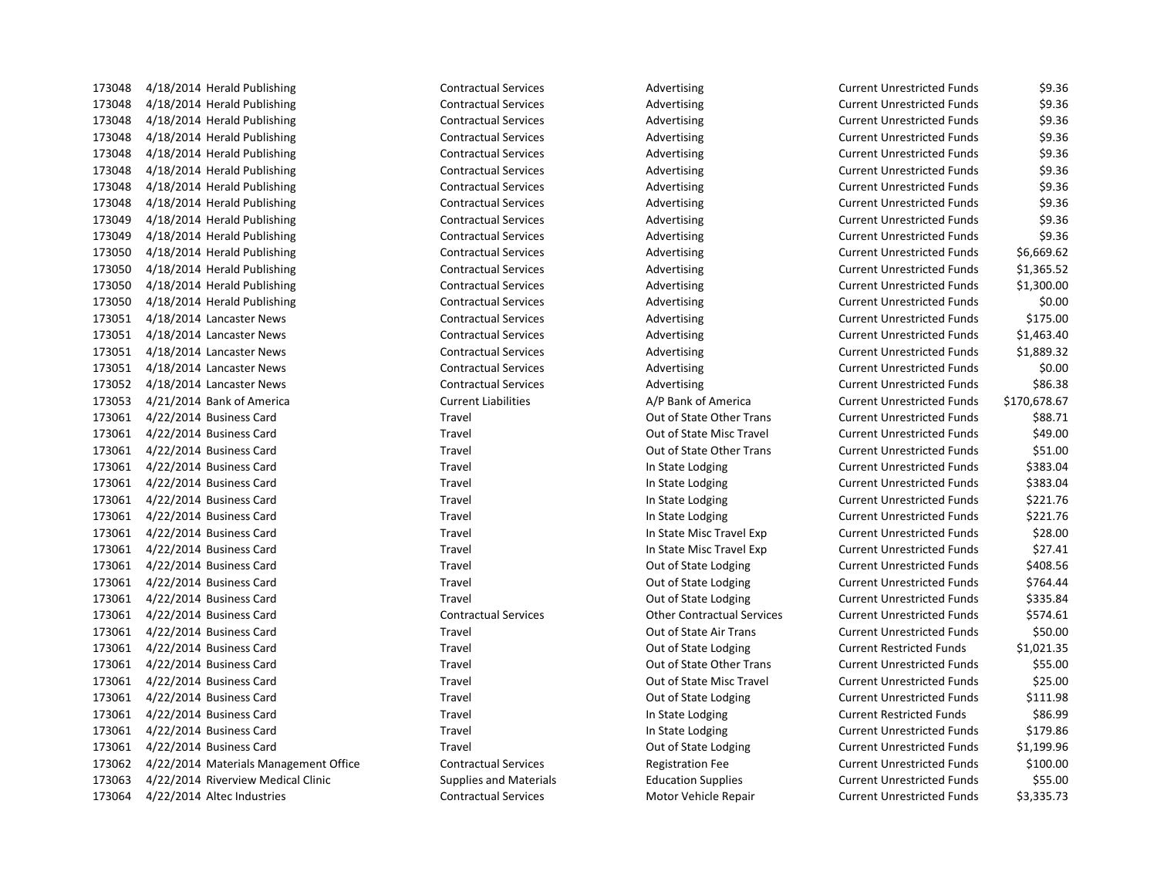173048 4/18/2014 Herald Publishing Contractual Services Advertising Advertising 173048 4/18/2014 Herald Publishing Contractual Services Advertising Advertising 173048 4/18/2014 Herald Publishing Contractual Services Advertising Advertising 173048 4/18/2014 Herald Publishing Contractual Services Advertising Advertising 173048 4/18/2014 Herald Publishing Contractual Services Advertising Advertising 173048 4/18/2014 Herald Publishing Contractual Services Advertising Advertising 173048 4/18/2014 Herald Publishing Contractual Services Advertising Advertising 173048 4/18/2014 Herald Publishing Contractual Services Advertising Advertising 173049 4/18/2014 Herald Publishing Contractual Services Advertising Advertising 173049 4/18/2014 Herald Publishing Contractual Services Advertising Advertising 173050 4/18/2014 Herald Publishing Contractual Services Advertising Advertising 173050 4/18/2014 Herald Publishing Contractual Services Advertising Advertising 173050 4/18/2014 Herald Publishing Contractual Services Advertising Advertising 173050 4/18/2014 Herald Publishing Contractual Services Advertising Advertising 173051 4/18/2014 Lancaster News Contractual Services Advertising 173051 4/18/2014 Lancaster News Contractual Services Advertising 173051 4/18/2014 Lancaster News Contractual Services Advertising 173051 4/18/2014 Lancaster News Contractual Services Advertising 173052 4/18/2014 Lancaster News Contractual Services Advertising 173053 4/21/2014 Bank of America Current Liabilities A/P Bank of America Current Liabilities 173061 4/22/2014 Business Card Travel Travel Travel Cut of State Other Trans 173061 4/22/2014 Business Card Travel Travel Cut of State Misc Travel 173061 4/22/2014 Business Card Travel Travel Cut of State Other Trans 173061 4/22/2014 Business Card Travel Travel In State Lodging Current Unrestricted Funds \$383.04 173061 4/22/2014 Business Card Travel Travel In State Lodging Current Unrestricted Funds \$383.04 173061 4/22/2014 Business Card Travel Travel In State Lodging Current Unrestricted Funds & Lodging 173061 4/22/2014 Business Card Travel Travel In State Lodging Current Unrestricted Funds \$173061 4/22 173061 4/22/2014 Business Card Travel Travel In State Misc Travel Exp Current Unrestricted Funds \$28.000 Un 173061 4/22/2014 Business Card Travel Travel In State Misc Travel Exp Current Unrestricted Funds \$27.411 173061 4/22/2014 Business Card Travel Travel Current Current Out of State Lodging 173061 4/22/2014 Business Card Travel Travel Cutrent Current Out of State Lodging 173061 4/22/2014 Business Card Travel Travel Current Current Out of State Lodging 173061 4/22/2014 Business Card Contractual Services Other Contractual Services Current Unrestricted Funds \$574.61 173061 4/22/2014 Business Card Travel Travel Travel Cut of State Air Trans 173061 4/22/2014 Business Card Travel Travel Current Current Current Current Restricted Funds \$1,000 for State Lodging 173061 4/22/2014 Business Card Travel Travel Cut of State Other Trans 173061 4/22/2014 Business Card Travel Travel Travel Cut of State Misc Travel 173061 4/22/2014 Business Card Travel Travel Current Current Out of State Lodging 173061 4/22/2014 Business Card Travel Travel In State Lodging Current Restricted Funds \$86.999 173061 4/22/2014 Business Card Travel Travel In State Lodging Current Unrestricted Funds \$179.866 173061 4/22/2014 Business Card Travel Travel Cutrent Current Out of State Lodging 173062 4/22/2014 Materials Management Office Contractual Services Registration Fee 173063 4/22/2014 Riverview Medical Clinic Supplies and Materials Education Supplies 173064 4/22/2014 Altec Industries Contractual Services Motor Vehicle Repair Current Unrestricted Funds \$3,335

| Current Unrestricted Funds        | 59.36        |
|-----------------------------------|--------------|
| Current Unrestricted Funds        | \$9.36       |
| Current Unrestricted Funds        | \$9.36       |
| Current Unrestricted Funds        | \$9.36       |
| <b>Current Unrestricted Funds</b> | \$9.36       |
| Current Unrestricted Funds        | \$9.36       |
| Current Unrestricted Funds        | \$9.36       |
| Current Unrestricted Funds        | \$9.36       |
| <b>Current Unrestricted Funds</b> | \$9.36       |
| Current Unrestricted Funds        | \$9.36       |
| Current Unrestricted Funds        | \$6,669.62   |
| <b>Current Unrestricted Funds</b> | \$1,365.52   |
| <b>Current Unrestricted Funds</b> | \$1,300.00   |
| Current Unrestricted Funds        | \$0.00       |
| <b>Current Unrestricted Funds</b> | \$175.00     |
| Current Unrestricted Funds        | \$1,463.40   |
| Current Unrestricted Funds        | \$1,889.32   |
| Current Unrestricted Funds        | \$0.00       |
| <b>Current Unrestricted Funds</b> | \$86.38      |
| Current Unrestricted Funds        | \$170,678.67 |
| Current Unrestricted Funds        | \$88.71      |
| <b>Current Unrestricted Funds</b> | \$49.00      |
| Current Unrestricted Funds        | \$51.00      |
| <b>Current Unrestricted Funds</b> | \$383.04     |
| Current Unrestricted Funds        | \$383.04     |
| <b>Current Unrestricted Funds</b> | \$221.76     |
| <b>Current Unrestricted Funds</b> | \$221.76     |
| Current Unrestricted Funds        | \$28.00      |
| Current Unrestricted Funds        | \$27.41      |
| Current Unrestricted Funds        | \$408.56     |
| Current Unrestricted Funds        | \$764.44     |
| Current Unrestricted Funds        | \$335.84     |
| Current Unrestricted Funds        | \$574.61     |
| <b>Current Unrestricted Funds</b> | \$50.00      |
| Current Restricted Funds          | \$1,021.35   |
| Current Unrestricted Funds        | \$55.00      |
| Current Unrestricted Funds        | \$25.00      |
| Current Unrestricted Funds        | \$111.98     |
| Current Restricted Funds          | \$86.99      |
| <b>Current Unrestricted Funds</b> | \$179.86     |
| <b>Current Unrestricted Funds</b> | \$1,199.96   |
| <b>Current Unrestricted Funds</b> | \$100.00     |
| Current Unrestricted Funds        | \$55.00      |
| Current Unrestricted Funds        | \$3,335.73   |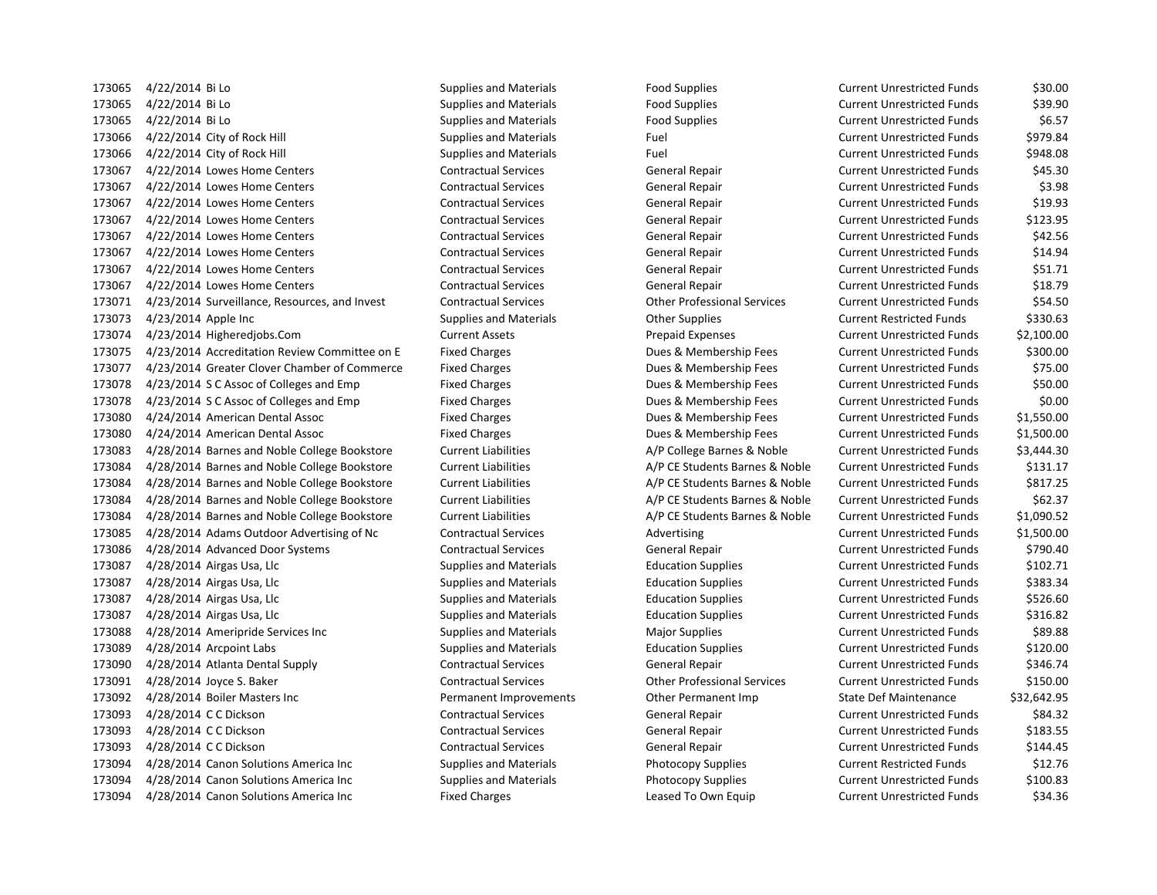4/22/2014 Bi Lo Supplies and Materials Food Supplies Current Unrestricted Funds \$30.00 4/22/2014 Bi Lo Supplies and Materials Food Supplies Current Unrestricted Funds \$39.90 173065 4/22/2014 Bi Lo Supplies and Materials Food Supplies Food Supplies Current Unrestricted Funds \$6.57 173066 4/22/2014 City of Rock Hill Supplies and Materials Fuel Fuel Current Unrestricted Funds \$979.84 4/22/2014 City of Rock Hill Supplies and Materials Fuel Current Unrestricted Funds \$948.08 4/22/2014 Lowes Home Centers Contractual Services General Repair Current Unrestricted Funds \$45.30 4/22/2014 Lowes Home Centers Contractual Services General Repair Current Unrestricted Funds \$3.98 4/22/2014 Lowes Home Centers Contractual Services General Repair Current Unrestricted Funds \$19.93 4/22/2014 Lowes Home Centers Contractual Services General Repair Current Unrestricted Funds \$123.95 4/22/2014 Lowes Home Centers Contractual Services General Repair Current Unrestricted Funds \$42.56 4/22/2014 Lowes Home Centers Contractual Services General Repair Current Unrestricted Funds \$14.94 4/22/2014 Lowes Home Centers Contractual Services General Repair Current Unrestricted Funds \$51.71 4/22/2014 Lowes Home Centers Contractual Services General Repair Current Unrestricted Funds \$18.79 4/23/2014 Surveillance, Resources, and Invest Contractual Services Other Professional Services Current Unrestricted Funds \$54.50 173073 4/23/2014 Apple Inc external supplies and Materials Current Restricted Funds 5330.63 4/23/2014 Higheredjobs.Com Current Assets Prepaid Expenses Current Unrestricted Funds \$2,100.00 4/23/2014 Accreditation Review Committee on E Fixed Charges Dues & Membership Fees Current Unrestricted Funds \$300.00 4/23/2014 Greater Clover Chamber of Commerce Fixed Charges Dues & Membership Fees Current Unrestricted Funds \$75.00 4/23/2014 S C Assoc of Colleges and Emp Fixed Charges Dues & Membership Fees Current Unrestricted Funds \$50.00 4/23/2014 S C Assoc of Colleges and Emp Fixed Charges Dues & Membership Fees Current Unrestricted Funds \$0.00 4/24/2014 American Dental Assoc Fixed Charges Dues & Membership Fees Current Unrestricted Funds \$1,550.00 4/24/2014 American Dental Assoc Fixed Charges Dues & Membership Fees Current Unrestricted Funds \$1,500.00 4/28/2014 Barnes and Noble College Bookstore Current Liabilities A/P College Barnes & Noble Current Unrestricted Funds \$3,444.30 4/28/2014 Barnes and Noble College Bookstore Current Liabilities A/P CE Students Barnes & Noble Current Unrestricted Funds \$131.17 4/28/2014 Barnes and Noble College Bookstore Current Liabilities A/P CE Students Barnes & Noble Current Unrestricted Funds \$817.25 4/28/2014 Barnes and Noble College Bookstore Current Liabilities A/P CE Students Barnes & Noble Current Unrestricted Funds \$62.37 4/28/2014 Barnes and Noble College Bookstore Current Liabilities A/P CE Students Barnes & Noble Current Unrestricted Funds \$1,090.52 4/28/2014 Adams Outdoor Advertising of Nc Contractual Services Advertising Current Unrestricted Funds \$1,500.00 4/28/2014 Advanced Door Systems Contractual Services General Repair Current Unrestricted Funds \$790.40 4/28/2014 Airgas Usa, Llc Supplies and Materials Education Supplies Current Unrestricted Funds \$102.71 4/28/2014 Airgas Usa, Llc Supplies and Materials Education Supplies Current Unrestricted Funds \$383.34 173087 4/28/2014 Airgas Usa, Llc Supplies and Materials Education Supplies Current Unrestricted Funds \$526.60 173087 4/28/2014 Airgas Usa, Llc Supplies and Materials Education Supplies Current Unrestricted Funds \$316.82 4/28/2014 Ameripride Services Inc Supplies and Materials Major Supplies Current Unrestricted Funds \$89.88 4/28/2014 Arcpoint Labs Supplies and Materials Education Supplies Current Unrestricted Funds \$120.00 4/28/2014 Atlanta Dental Supply Contractual Services General Repair Current Unrestricted Funds \$346.74 4/28/2014 Joyce S. Baker Contractual Services Other Professional Services Current Unrestricted Funds \$150.00 4/28/2014 Boiler Masters Inc Permanent Improvements Other Permanent Imp State Def Maintenance \$32,642.95 4/28/2014 C C Dickson Contractual Services General Repair Current Unrestricted Funds \$84.32 4/28/2014 C C Dickson Contractual Services General Repair Current Unrestricted Funds \$183.55 4/28/2014 C C Dickson Contractual Services General Repair Current Unrestricted Funds \$144.45 173094 4/28/2014 Canon Solutions America Inc Supplies and Materials Photocopy Supplies Current Restricted Funds \$12.76 4/28/2014 Canon Solutions America Inc Supplies and Materials Photocopy Supplies Current Unrestricted Funds \$100.83 173094 4/28/2014 Canon Solutions America Inc Fixed Charges Leased To Own Equip Current Unrestricted Funds \$34.36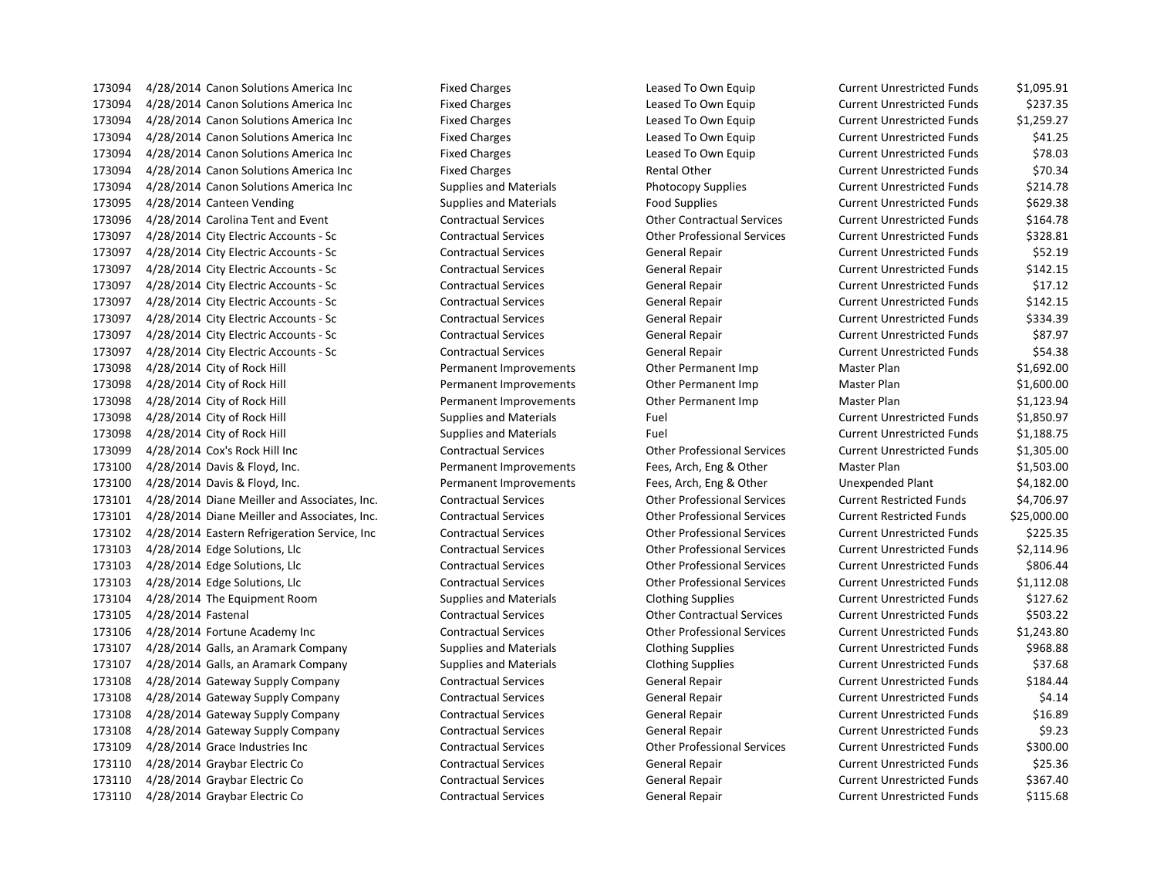4/28/2014 Canon Solutions America Inc Fixed Charges Leased To Own Equip Current Unrestricted Funds \$1,095.91 4/28/2014 Canon Solutions America Inc Fixed Charges Leased To Own Equip Current Unrestricted Funds \$237.35 4/28/2014 Canon Solutions America Inc Fixed Charges Leased To Own Equip Current Unrestricted Funds \$1,259.27 4/28/2014 Canon Solutions America Inc Fixed Charges Leased To Own Equip Current Unrestricted Funds \$41.25 4/28/2014 Canon Solutions America Inc Fixed Charges Leased To Own Equip Current Unrestricted Funds \$78.03 173094 4/28/2014 Canon Solutions America Inc Fixed Charges Fixed Charges Rental Other Current Unrestricted Funds \$70.34 4/28/2014 Canon Solutions America Inc Supplies and Materials Photocopy Supplies Current Unrestricted Funds \$214.78 4/28/2014 Canteen Vending Supplies and Materials Food Supplies Current Unrestricted Funds \$629.38 4/28/2014 Carolina Tent and Event Contractual Services Other Contractual Services Current Unrestricted Funds \$164.78 4/28/2014 City Electric Accounts - Sc Contractual Services Other Professional Services Current Unrestricted Funds \$328.81 4/28/2014 City Electric Accounts - Sc Contractual Services General Repair Current Unrestricted Funds \$52.19 4/28/2014 City Electric Accounts - Sc Contractual Services General Repair Current Unrestricted Funds \$142.15 4/28/2014 City Electric Accounts - Sc Contractual Services General Repair Current Unrestricted Funds \$17.12 4/28/2014 City Electric Accounts - Sc Contractual Services General Repair Current Unrestricted Funds \$142.15 4/28/2014 City Electric Accounts - Sc Contractual Services General Repair Current Unrestricted Funds \$334.39 4/28/2014 City Electric Accounts - Sc Contractual Services General Repair Current Unrestricted Funds \$87.97 4/28/2014 City Electric Accounts - Sc Contractual Services General Repair Current Unrestricted Funds \$54.38 4/28/2014 City of Rock Hill Permanent Improvements Other Permanent Imp Master Plan \$1,692.00 4/28/2014 City of Rock Hill Permanent Improvements Other Permanent Imp Master Plan \$1,600.00 4/28/2014 City of Rock Hill Permanent Improvements Other Permanent Imp Master Plan \$1,123.94 173098 4/28/2014 City of Rock Hill Supplies and Materials Fuel Fuel Current Unrestricted Funds \$1,850.97 173098 4/28/2014 City of Rock Hill Supplies and Materials Fuel Fuel Current Unrestricted Funds \$1,188.75 4/28/2014 Cox's Rock Hill Inc Contractual Services Other Professional Services Current Unrestricted Funds \$1,305.00 4/28/2014 Davis & Floyd, Inc. Permanent Improvements Fees, Arch, Eng & Other Master Plan \$1,503.00 4/28/2014 Davis & Floyd, Inc. Permanent Improvements Fees, Arch, Eng & Other Unexpended Plant \$4,182.00 4/28/2014 Diane Meiller and Associates, Inc. Contractual Services Other Professional Services Current Restricted Funds \$4,706.97 4/28/2014 Diane Meiller and Associates, Inc. Contractual Services Other Professional Services Current Restricted Funds \$25,000.00 4/28/2014 Eastern Refrigeration Service, Inc Contractual Services Other Professional Services Current Unrestricted Funds \$225.35 4/28/2014 Edge Solutions, Llc Contractual Services Other Professional Services Current Unrestricted Funds \$2,114.96 4/28/2014 Edge Solutions, Llc Contractual Services Other Professional Services Current Unrestricted Funds \$806.44 4/28/2014 Edge Solutions, Llc Contractual Services Other Professional Services Current Unrestricted Funds \$1,112.08 4/28/2014 The Equipment Room Supplies and Materials Clothing Supplies Current Unrestricted Funds \$127.62 4/28/2014 Fastenal Contractual Services Other Contractual Services Current Unrestricted Funds \$503.22 4/28/2014 Fortune Academy Inc Contractual Services Other Professional Services Current Unrestricted Funds \$1,243.80 4/28/2014 Galls, an Aramark Company Supplies and Materials Clothing Supplies Current Unrestricted Funds \$968.88 4/28/2014 Galls, an Aramark Company Supplies and Materials Clothing Supplies Current Unrestricted Funds \$37.68 4/28/2014 Gateway Supply Company Contractual Services General Repair Current Unrestricted Funds \$184.44 4/28/2014 Gateway Supply Company Contractual Services General Repair Current Unrestricted Funds \$4.14 4/28/2014 Gateway Supply Company Contractual Services General Repair Current Unrestricted Funds \$16.89 4/28/2014 Gateway Supply Company Contractual Services General Repair Current Unrestricted Funds \$9.23 4/28/2014 Grace Industries Inc Contractual Services Other Professional Services Current Unrestricted Funds \$300.00 4/28/2014 Graybar Electric Co Contractual Services General Repair Current Unrestricted Funds \$25.36 4/28/2014 Graybar Electric Co Contractual Services General Repair Current Unrestricted Funds \$367.40 4/28/2014 Graybar Electric Co Contractual Services General Repair Current Unrestricted Funds \$115.68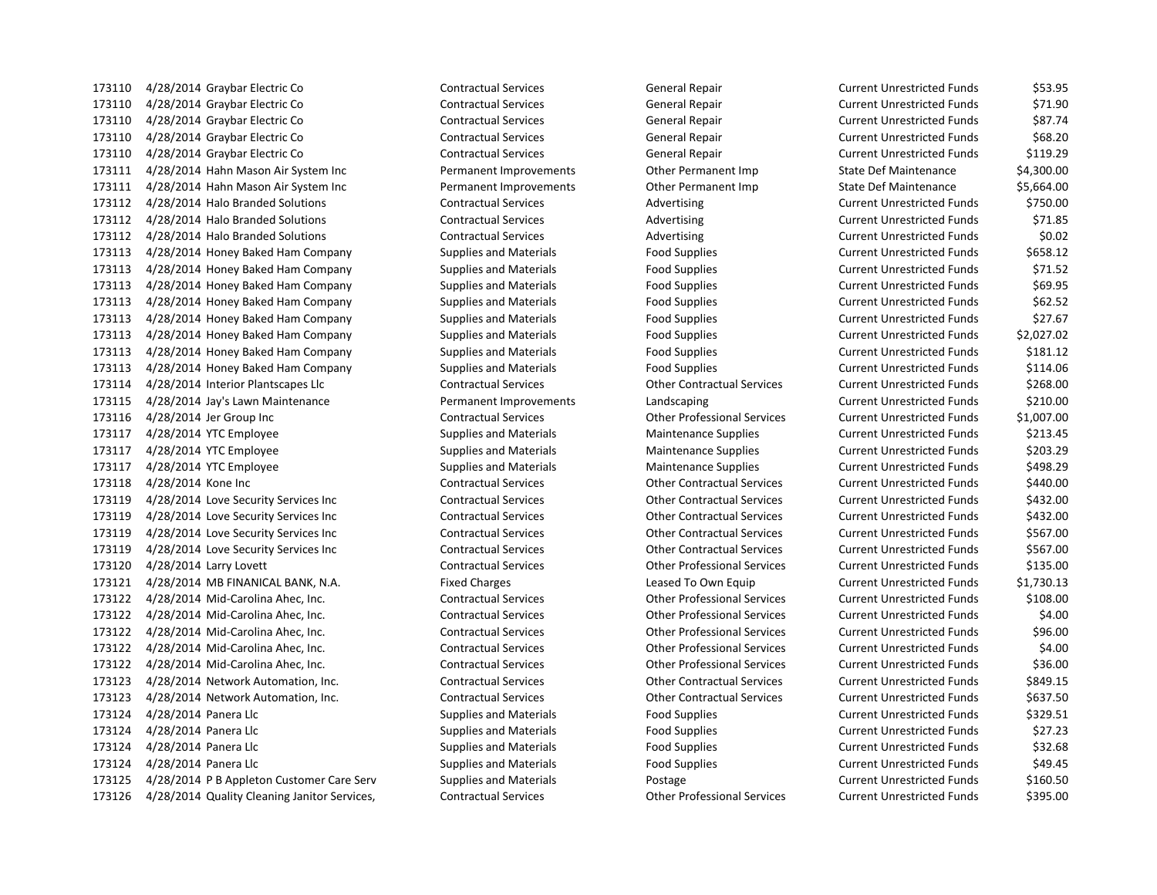4/28/2014 Graybar Electric Co Contractual Services General Repair Current Unrestricted Funds \$53.95 4/28/2014 Graybar Electric Co Contractual Services General Repair Current Unrestricted Funds \$71.90 4/28/2014 Graybar Electric Co Contractual Services General Repair Current Unrestricted Funds \$87.74 4/28/2014 Graybar Electric Co Contractual Services General Repair Current Unrestricted Funds \$68.20 4/28/2014 Graybar Electric Co Contractual Services General Repair Current Unrestricted Funds \$119.29 4/28/2014 Hahn Mason Air System Inc Permanent Improvements Other Permanent Imp State Def Maintenance \$4,300.00 4/28/2014 Hahn Mason Air System Inc Permanent Improvements Other Permanent Imp State Def Maintenance \$5,664.00 173112 4/28/2014 Halo Branded Solutions Contractual Services Advertising Current Unrestricted Funds \$750.00 4/28/2014 Halo Branded Solutions Contractual Services Advertising Current Unrestricted Funds \$71.85 4/28/2014 Halo Branded Solutions Contractual Services Advertising Current Unrestricted Funds \$0.02 4/28/2014 Honey Baked Ham Company Supplies and Materials Food Supplies Current Unrestricted Funds \$658.12 4/28/2014 Honey Baked Ham Company Supplies and Materials Food Supplies Current Unrestricted Funds \$71.52 4/28/2014 Honey Baked Ham Company Supplies and Materials Food Supplies Current Unrestricted Funds \$69.95 4/28/2014 Honey Baked Ham Company Supplies and Materials Food Supplies Current Unrestricted Funds \$62.52 4/28/2014 Honey Baked Ham Company Supplies and Materials Food Supplies Current Unrestricted Funds \$27.67 4/28/2014 Honey Baked Ham Company Supplies and Materials Food Supplies Current Unrestricted Funds \$2,027.02 4/28/2014 Honey Baked Ham Company Supplies and Materials Food Supplies Current Unrestricted Funds \$181.12 4/28/2014 Honey Baked Ham Company Supplies and Materials Food Supplies Current Unrestricted Funds \$114.06 4/28/2014 Interior Plantscapes Llc Contractual Services Other Contractual Services Current Unrestricted Funds \$268.00 4/28/2014 Jay's Lawn Maintenance Permanent Improvements Landscaping Current Unrestricted Funds \$210.00 4/28/2014 Jer Group Inc Contractual Services Other Professional Services Current Unrestricted Funds \$1,007.00 4/28/2014 YTC Employee Supplies and Materials Maintenance Supplies Current Unrestricted Funds \$213.45 4/28/2014 YTC Employee Supplies and Materials Maintenance Supplies Current Unrestricted Funds \$203.29 4/28/2014 YTC Employee Supplies and Materials Maintenance Supplies Current Unrestricted Funds \$498.29 4/28/2014 Kone Inc Contractual Services Other Contractual Services Current Unrestricted Funds \$440.00 4/28/2014 Love Security Services Inc Contractual Services Other Contractual Services Current Unrestricted Funds \$432.00 4/28/2014 Love Security Services Inc Contractual Services Other Contractual Services Current Unrestricted Funds \$432.00 4/28/2014 Love Security Services Inc Contractual Services Other Contractual Services Current Unrestricted Funds \$567.00 4/28/2014 Love Security Services Inc Contractual Services Other Contractual Services Current Unrestricted Funds \$567.00 4/28/2014 Larry Lovett Contractual Services Other Professional Services Current Unrestricted Funds \$135.00 4/28/2014 MB FINANICAL BANK, N.A. Fixed Charges Leased To Own Equip Current Unrestricted Funds \$1,730.13 4/28/2014 Mid-Carolina Ahec, Inc. Contractual Services Other Professional Services Current Unrestricted Funds \$108.00 4/28/2014 Mid-Carolina Ahec, Inc. Contractual Services Other Professional Services Current Unrestricted Funds \$4.00 4/28/2014 Mid-Carolina Ahec, Inc. Contractual Services Other Professional Services Current Unrestricted Funds \$96.00 4/28/2014 Mid-Carolina Ahec, Inc. Contractual Services Other Professional Services Current Unrestricted Funds \$4.00 4/28/2014 Mid-Carolina Ahec, Inc. Contractual Services Other Professional Services Current Unrestricted Funds \$36.00 4/28/2014 Network Automation, Inc. Contractual Services Other Contractual Services Current Unrestricted Funds \$849.15 4/28/2014 Network Automation, Inc. Contractual Services Other Contractual Services Current Unrestricted Funds \$637.50 173124 4/28/2014 Panera Llc **Supplies and Materials** Food Supplies Food Supplies Current Unrestricted Funds 5329.51 4/28/2014 Panera Llc Supplies and Materials Food Supplies Current Unrestricted Funds \$27.23 4/28/2014 Panera Llc Supplies and Materials Food Supplies Current Unrestricted Funds \$32.68 173124 4/28/2014 Panera Llc Supplies and Materials Food Supplies Food Supplies Current Unrestricted Funds \$49.45 173125 4/28/2014 P B Appleton Customer Care Serv Supplies and Materials Postage Current Unrestricted Funds \$160.50

4/28/2014 Quality Cleaning Janitor Services, Contractual Services Other Professional Services Current Unrestricted Funds \$395.00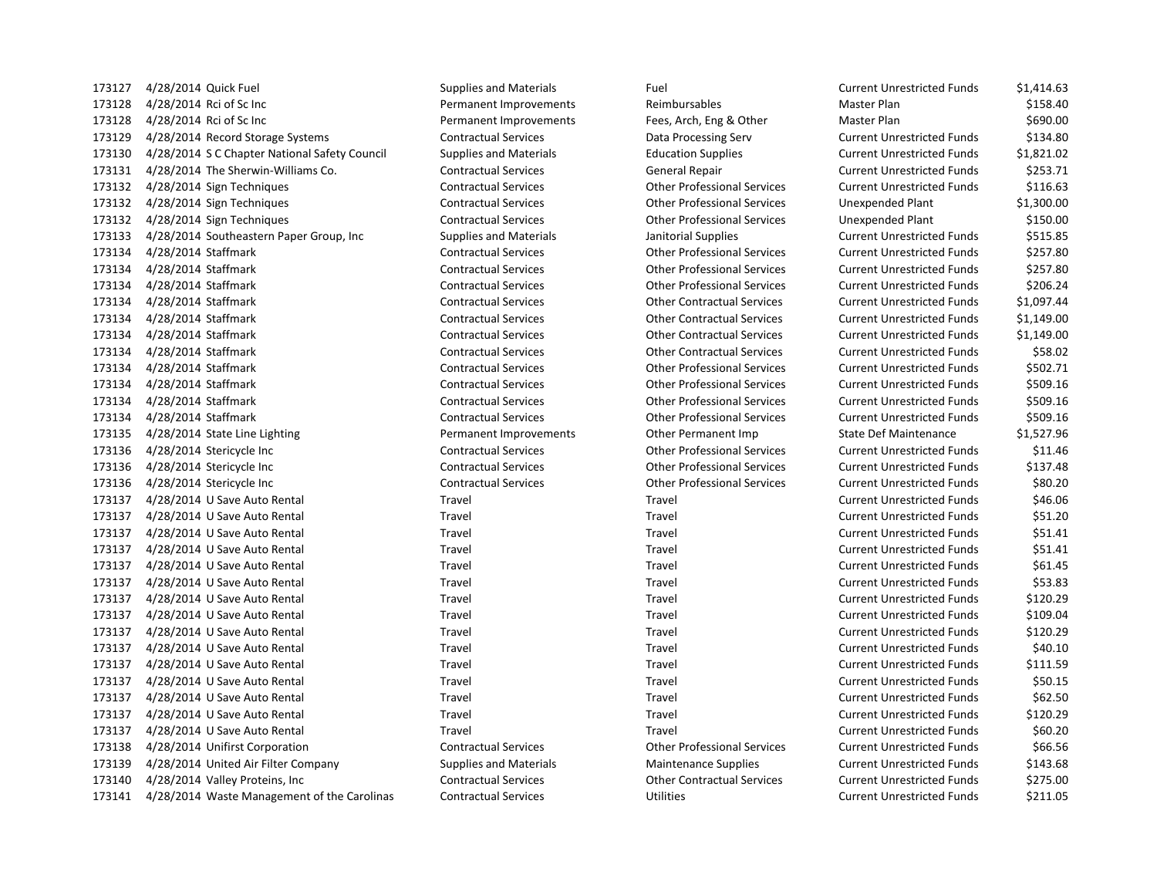173127 4/28/2014 Quick Fuel Supplies and Materials Fuel Current Current Units Supplies and Materials 173128 4/28/2014 Rci of Sc Inc **Permanent Improvements** Reimbursables 173128 4/28/2014 Rci of Sc Inc **Permanent Improvements** Fees, Arch, Eng & Other Permanent Improvements 173129 4/28/2014 Record Storage Systems Contractual Services Data Processing Serv 173130 4/28/2014 S C Chapter National Safety Council Supplies and Materials Education Supplies 173131 4/28/2014 The Sherwin-Williams Co. Contractual Services General Repair 173132 4/28/2014 Sign Techniques Contractual Services Other Professional Services 173132 4/28/2014 Sign Techniques Contractual Services Other Professional Services 173132 4/28/2014 Sign Techniques Contractual Services Other Professional Services 173133 4/28/2014 Southeastern Paper Group, Inc Supplies and Materials Janitorial Supplies 173134 4/28/2014 Staffmark Contractual Services Contractual Services Other Professional Services 173134 4/28/2014 Staffmark Contractual Services Other Professional Services Current Unrestricted Funds \$257.80 173134 4/28/2014 Staffmark Contractual Services Contractual Services Other Professional Services 173134 4/28/2014 Staffmark Contractual Services Other Contractual Services Current Unrestricted Funds \$1,097.44 173134 4/28/2014 Staffmark Contractual Services Contractual Services Other Contractual Services 173134 4/28/2014 Staffmark Contractual Services Other Contractual Services Current Unrestricted Funds \$1,149.000 173134 4/28/2014 Staffmark Contractual Services Contractual Services Current Contractual Services 173134 4/28/2014 Staffmark Contractual Services Contractual Services Other Professional Services 173134 4/28/2014 Staffmark Contractual Services Contractual Services Other Professional Services 173134 4/28/2014 Staffmark Contractual Services Contractual Services Other Professional Services 173134 4/28/2014 Staffmark Contractual Services Contractual Services Other Professional Services 173135 4/28/2014 State Line Lighting **Permanent Improvements** Other Permanent Imp 173136 4/28/2014 Stericycle Inc Contractual Services Other Professional Services 173136 4/28/2014 Stericycle Inc Contractual Services Other Professional Services 173136 4/28/2014 Stericycle Inc Contractual Services Other Professional Services 173137 4/28/2014 U Save Auto Rental Travel Travel Travel Travel Travel 173137 4/28/2014 U Save Auto Rental Travel Travel Travel Travel Travel 173137 4/28/2014 U Save Auto Rental Travel Travel Travel Travel Travel Travel 173137 4/28/2014 U Save Auto Rental Travel Travel Travel Travel Travel 173137 4/28/2014 U Save Auto Rental Travel Travel Travel Travel Travel 173137 4/28/2014 U Save Auto Rental Travel Travel Travel Travel Travel 173137 4/28/2014 U Save Auto Rental Travel Travel Travel Current Unrestricted Travel 173137 4/28/2014 U Save Auto Rental Travel Travel Travel Travel Travel 173137 4/28/2014 U Save Auto Rental Travel Travel Travel Travel Travel 173137 4/28/2014 U Save Auto Rental Travel Travel Travel Travel Travel 173137 4/28/2014 U Save Auto Rental Travel Travel Travel Travel Travel 173137 4/28/2014 U Save Auto Rental Travel Travel Travel Travel Travel 173137 4/28/2014 U Save Auto Rental Travel Travel Travel Travel Travel 173137 4/28/2014 U Save Auto Rental Travel Travel Travel Travel Travel 173137 4/28/2014 U Save Auto Rental Travel Travel Travel Travel Travel 173138 4/28/2014 Unifirst Corporation Contractual Services Other Professional Services 173139 4/28/2014 United Air Filter Company Supplies and Materials Maintenance Supplies 173140 4/28/2014 Valley Proteins, Inc Contractual Services Other Contractual Services Current Unrestricted Funds \$275.000 Current Unrestricted Funds \$275.000 Current Unrestricted Funds \$275.000 Current Unrestricted Funds \$ 173141 4/28/2014 Waste Management of the Carolinas Contractual Services Utilities

| <b>Current Unrestricted Funds</b> | \$1,414.63 |
|-----------------------------------|------------|
| Master Plan                       | \$158.40   |
| Master Plan                       | \$690.00   |
| <b>Current Unrestricted Funds</b> | \$134.80   |
| <b>Current Unrestricted Funds</b> | \$1,821.02 |
| <b>Current Unrestricted Funds</b> | \$253.71   |
| <b>Current Unrestricted Funds</b> | \$116.63   |
| <b>Unexpended Plant</b>           | \$1,300.00 |
| <b>Unexpended Plant</b>           | \$150.00   |
| <b>Current Unrestricted Funds</b> | \$515.85   |
| <b>Current Unrestricted Funds</b> | \$257.80   |
| <b>Current Unrestricted Funds</b> | \$257.80   |
| <b>Current Unrestricted Funds</b> | \$206.24   |
| <b>Current Unrestricted Funds</b> | \$1,097.44 |
| <b>Current Unrestricted Funds</b> | \$1,149.00 |
| <b>Current Unrestricted Funds</b> | \$1,149.00 |
| <b>Current Unrestricted Funds</b> | \$58.02    |
| <b>Current Unrestricted Funds</b> | \$502.71   |
| <b>Current Unrestricted Funds</b> | \$509.16   |
| <b>Current Unrestricted Funds</b> | \$509.16   |
| <b>Current Unrestricted Funds</b> | \$509.16   |
| <b>State Def Maintenance</b>      | \$1,527.96 |
| <b>Current Unrestricted Funds</b> | \$11.46    |
| <b>Current Unrestricted Funds</b> | \$137.48   |
| <b>Current Unrestricted Funds</b> | \$80.20    |
| <b>Current Unrestricted Funds</b> | \$46.06    |
| <b>Current Unrestricted Funds</b> | \$51.20    |
| <b>Current Unrestricted Funds</b> | \$51.41    |
| <b>Current Unrestricted Funds</b> | \$51.41    |
| <b>Current Unrestricted Funds</b> | \$61.45    |
| <b>Current Unrestricted Funds</b> | \$53.83    |
| <b>Current Unrestricted Funds</b> | \$120.29   |
| <b>Current Unrestricted Funds</b> | \$109.04   |
| <b>Current Unrestricted Funds</b> | \$120.29   |
| <b>Current Unrestricted Funds</b> | \$40.10    |
| <b>Current Unrestricted Funds</b> | \$111.59   |
| <b>Current Unrestricted Funds</b> | \$50.15    |
| <b>Current Unrestricted Funds</b> | \$62.50    |
| <b>Current Unrestricted Funds</b> | \$120.29   |
| <b>Current Unrestricted Funds</b> | \$60.20    |
| <b>Current Unrestricted Funds</b> | \$66.56    |
| <b>Current Unrestricted Funds</b> | \$143.68   |
| <b>Current Unrestricted Funds</b> | \$275.00   |
| <b>Current Unrestricted Funds</b> | \$211.05   |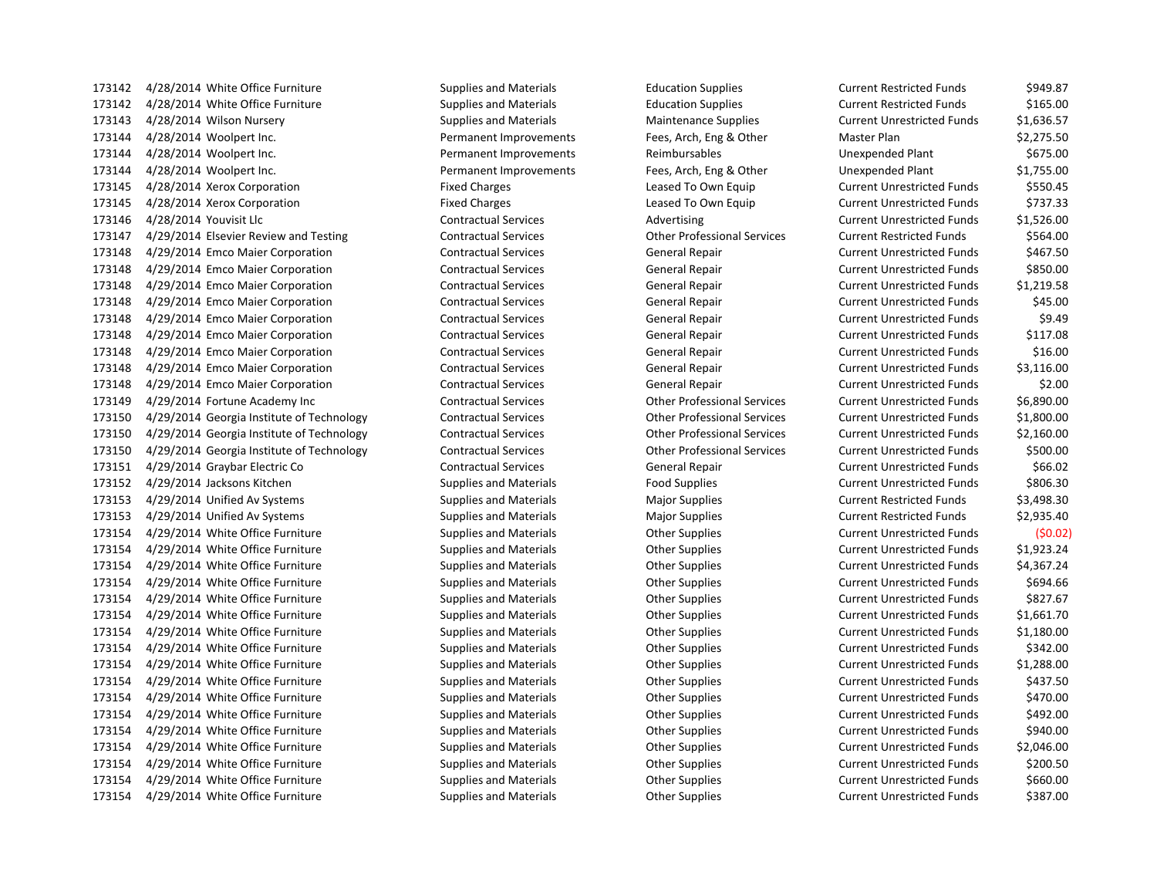4/28/2014 White Office Furniture Supplies and Materials Education Supplies Current Restricted Funds \$165.00 4/28/2014 Wilson Nursery Supplies and Materials Maintenance Supplies Current Unrestricted Funds \$1,636.57 4/28/2014 Woolpert Inc. Permanent Improvements Fees, Arch, Eng & Other Master Plan \$2,275.50 4/28/2014 Woolpert Inc. Permanent Improvements Reimbursables Unexpended Plant \$675.00 4/28/2014 Woolpert Inc. Permanent Improvements Fees, Arch, Eng & Other Unexpended Plant \$1,755.00 4/28/2014 Xerox Corporation Fixed Charges Leased To Own Equip Current Unrestricted Funds \$550.45 4/28/2014 Xerox Corporation Fixed Charges Leased To Own Equip Current Unrestricted Funds \$737.33 4/28/2014 Youvisit Llc Contractual Services Advertising Current Unrestricted Funds \$1,526.00 4/29/2014 Elsevier Review and Testing Contractual Services Other Professional Services Current Restricted Funds \$564.00 4/29/2014 Emco Maier Corporation Contractual Services General Repair Current Unrestricted Funds \$467.50 4/29/2014 Emco Maier Corporation Contractual Services General Repair Current Unrestricted Funds \$850.00 4/29/2014 Emco Maier Corporation Contractual Services General Repair Current Unrestricted Funds \$1,219.58 4/29/2014 Emco Maier Corporation Contractual Services General Repair Current Unrestricted Funds \$45.00 4/29/2014 Emco Maier Corporation Contractual Services General Repair Current Unrestricted Funds \$9.49 4/29/2014 Emco Maier Corporation Contractual Services General Repair Current Unrestricted Funds \$117.08 4/29/2014 Emco Maier Corporation Contractual Services General Repair Current Unrestricted Funds \$16.00 4/29/2014 Emco Maier Corporation Contractual Services General Repair Current Unrestricted Funds \$3,116.00 4/29/2014 Emco Maier Corporation Contractual Services General Repair Current Unrestricted Funds \$2.00 4/29/2014 Fortune Academy Inc Contractual Services Other Professional Services Current Unrestricted Funds \$6,890.00 4/29/2014 Georgia Institute of Technology Contractual Services Other Professional Services Current Unrestricted Funds \$1,800.00 4/29/2014 Georgia Institute of Technology Contractual Services Other Professional Services Current Unrestricted Funds \$2,160.00 4/29/2014 Georgia Institute of Technology Contractual Services Other Professional Services Current Unrestricted Funds \$500.00 4/29/2014 Graybar Electric Co Contractual Services General Repair Current Unrestricted Funds \$66.02 173152 4/29/2014 Jacksons Kitchen Supplies and Materials Food Supplies Food Supplies Current Unrestricted Funds \$806.30 4/29/2014 Unified Av Systems Supplies and Materials Major Supplies Current Restricted Funds \$3,498.30 4/29/2014 Unified Av Systems Supplies and Materials Major Supplies Current Restricted Funds \$2,935.40 4/29/2014 White Office Furniture Supplies and Materials Other Supplies Current Unrestricted Funds (\$0.02) 4/29/2014 White Office Furniture Supplies and Materials Other Supplies Current Unrestricted Funds \$1,923.24 4/29/2014 White Office Furniture Supplies and Materials Other Supplies Current Unrestricted Funds \$4,367.24 4/29/2014 White Office Furniture Supplies and Materials Other Supplies Current Unrestricted Funds \$694.66 4/29/2014 White Office Furniture Supplies and Materials Other Supplies Current Unrestricted Funds \$827.67 4/29/2014 White Office Furniture Supplies and Materials Other Supplies Current Unrestricted Funds \$1,661.70 4/29/2014 White Office Furniture Supplies and Materials Other Supplies Current Unrestricted Funds \$1,180.00 4/29/2014 White Office Furniture Supplies and Materials Other Supplies Current Unrestricted Funds \$342.00 4/29/2014 White Office Furniture Supplies and Materials Other Supplies Current Unrestricted Funds \$1,288.00 173154 4/29/2014 White Office Furniture Supplies and Materials Current Unrestricted Funds 5437.50 4/29/2014 White Office Furniture Supplies and Materials Other Supplies Current Unrestricted Funds \$470.00 4/29/2014 White Office Furniture Supplies and Materials Other Supplies Current Unrestricted Funds \$492.00 173154 4/29/2014 White Office Furniture Supplies and Materials Current Unrestricted Funds 5940.00 4/29/2014 White Office Furniture Supplies and Materials Other Supplies Current Unrestricted Funds \$2,046.00 173154 4/29/2014 White Office Furniture Supplies and Materials Current Unrestricted Funds 5200.50 4/29/2014 White Office Furniture Supplies and Materials Other Supplies Current Unrestricted Funds \$660.00 173154 4/29/2014 White Office Furniture Supplies and Materials Current Unrestricted Funds 5387.00

173142 4/28/2014 White Office Furniture Supplies and Materials Education Supplies Current Restricted Funds \$949.87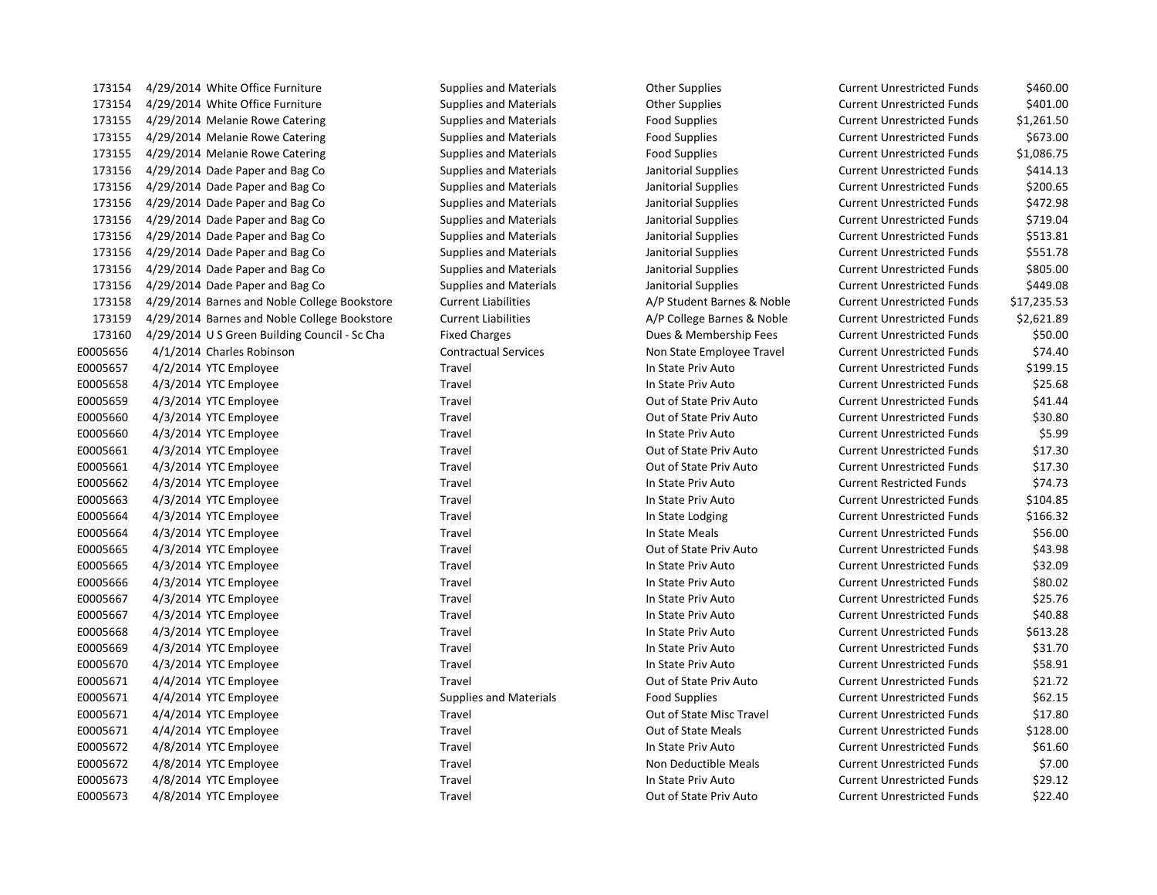| 173154   | 4/29/2014 White Office Furniture          |
|----------|-------------------------------------------|
| 173154   | 4/29/2014 White Office Furniture          |
| 173155   | 4/29/2014 Melanie Rowe Catering           |
| 173155   | 4/29/2014 Melanie Rowe Catering           |
| 173155   | 4/29/2014 Melanie Rowe Catering           |
| 173156   | 4/29/2014 Dade Paper and Bag Co           |
| 173156   | 4/29/2014 Dade Paper and Bag Co           |
| 173156   | 4/29/2014 Dade Paper and Bag Co           |
| 173156   | 4/29/2014 Dade Paper and Bag Co           |
| 173156   | 4/29/2014 Dade Paper and Bag Co           |
| 173156   | 4/29/2014 Dade Paper and Bag Co           |
| 173156   | 4/29/2014 Dade Paper and Bag Co           |
| 173156   | 4/29/2014 Dade Paper and Bag Co           |
| 173158   | 4/29/2014 Barnes and Noble College Book   |
| 173159   | 4/29/2014 Barnes and Noble College Book   |
| 173160   | 4/29/2014 U S Green Building Council - Sc |
| E0005656 | 4/1/2014 Charles Robinson                 |
| E0005657 | 4/2/2014 YTC Employee                     |
| E0005658 | 4/3/2014 YTC Employee                     |
| E0005659 | 4/3/2014 YTC Employee                     |
| E0005660 | 4/3/2014 YTC Employee                     |
| E0005660 | 4/3/2014 YTC Employee                     |
| E0005661 | 4/3/2014 YTC Employee                     |
| E0005661 | 4/3/2014 YTC Employee                     |
| E0005662 | 4/3/2014 YTC Employee                     |
| E0005663 | 4/3/2014 YTC Employee                     |
| E0005664 | 4/3/2014 YTC Employee                     |
| E0005664 | 4/3/2014 YTC Employee                     |
| E0005665 | 4/3/2014 YTC Employee                     |
| E0005665 | 4/3/2014 YTC Employee                     |
| E0005666 | 4/3/2014 YTC Employee                     |
| E0005667 | 4/3/2014 YTC Employee                     |
| E0005667 | 4/3/2014 YTC Employee                     |
| E0005668 | 4/3/2014 YTC Employee                     |
| E0005669 | 4/3/2014 YTC Employee                     |
| E0005670 | 4/3/2014 YTC Employee                     |
| E0005671 | 4/4/2014 YTC Employee                     |
| E0005671 | 4/4/2014 YTC Employee                     |
| E0005671 | 4/4/2014 YTC Employee                     |
| E0005671 | 4/4/2014 YTC Employee                     |
| E0005672 | 4/8/2014 YTC Employee                     |
| E0005672 | 4/8/2014 YTC Employee                     |
| E0005673 | 4/8/2014 YTC Employee                     |
| F0005673 | 4/8/2014 YTC Employee                     |

173154 4/29/2014 White Office Furniture Supplies and Materials Other Supplies Current Unrestricted Funds \$460.00 173154 4/29/2014 White Office Furniture Supplies and Materials Other Supplies Current Unrestricted Funds \$401.00 173155 4/29/2014 Melanie Rowe Catering Supplies and Materials Food Supplies Current Unrestricted Funds \$1,261.50 173155 4/29/2014 Melanie Rowe Catering Supplies and Materials Food Supplies Current Unrestricted Funds \$673.00 173155 4/29/2014 Melanie Rowe Catering Supplies and Materials Food Supplies Current Unrestricted Funds \$1,086.75 Supplies and Materials **Supplies** and Materials Janitorial Supplies **Current Unrestricted Funds** \$414.13 173156 4/29/2014 Dade Paper and Bag Co Supplies and Materials Janitorial Supplies Current Unrestricted Funds \$200.65 173156 4/29/2014 Dade Paper and Bag Co Supplies and Materials Janitorial Supplies Current Unrestricted Funds \$472.98 173156 4/29/2014 Dade Paper and Bag Co Supplies and Materials Janitorial Supplies Current Unrestricted Funds \$719.04 173156 4/29/2014 Dade Paper and Bag Co Supplies and Materials Janitorial Supplies Current Unrestricted Funds \$513.81 173156 4/29/2014 Dade Paper and Bag Co Supplies and Materials Janitorial Supplies Current Unrestricted Funds \$551.78 173156 4/29/2014 Dade Paper and Bag Co Supplies and Materials Janitorial Supplies Current Unrestricted Funds \$805.00 173156 4/29/2014 Dade Paper and Bag Co Supplies and Materials Janitorial Supplies Current Unrestricted Funds \$449.08 kstore Current Liabilities **A/P Student Barnes & Noble** Current Unrestricted Funds \$17,235.53 kstore Current Liabilities **A/P College Barnes & Noble Current Unrestricted Funds** \$2,621.89 1752 61 61 Cha Fixed Charges Current Unrestricted Funds 550.00 E00056 274.40 Contractual Services Non State Employee Travel Current Unrestricted Funds \$74.40 E0005657 4/2/2014 YTC Employee Travel In State Priv Auto Current Unrestricted Funds \$199.15 E0005658 4/3/2014 YTC Employee Travel In State Priv Auto Current Unrestricted Funds \$25.68 Travel **EXECUTE:** Cut of State Priv Auto Current Unrestricted Funds \$41.44 E0005660 11206661 2006 4/3/2014 Muslem Current Unrestricted Funds to the State Priv Auto Current Unrestricted Funds E0005660 4/3/2014 YTC Employee Travel In State Priv Auto Current Unrestricted Funds \$5.99 E0015661 Travel COUT Out of State Priv Auto Current Unrestricted Funds \$17.30 E0015661 Travel COUT Out of State Priv Auto Current Unrestricted Funds \$17.30 E0005662 4/3/2014 YTC Employee Travel In State Priv Auto Current Restricted Funds \$74.73 E0005663 4/3/2014 YTC Employee Travel In State Priv Auto Current Unrestricted Funds \$104.85 E0005664 4/3/2014 YTC Employee Travel In State Lodging Current Unrestricted Funds \$166.32 E0005664 4/3/2014 YTC Employee Travel In State Meals Current Unrestricted Funds \$56.00 E0005665 4/3/2014 YTC Employee Travel Out of State Priv Auto Current Unrestricted Funds \$43.98 E0005665 4/3/2014 YTC Employee Travel In State Priv Auto Current Unrestricted Funds \$32.09 E0005666 17 Current Unrestricted Funds 580.02 E0005667 4/3/2014 YTC Employee Travel In State Priv Auto Current Unrestricted Funds \$25.76 E0005667 4/3/2014 YTC Employee Travel In State Priv Auto Current Unrestricted Funds \$40.88 E0005668 4/3/2014 YTC Employee Travel In State Priv Auto Current Unrestricted Funds \$613.28 E0005669 4/3/2014 YTC Employee Travel In State Priv Auto Current Unrestricted Funds \$31.70 E0005670 4/3/2014 YTC Employee Travel In State Priv Auto Current Unrestricted Funds \$58.91 Travel **EXECOFF ENDICITS CONSUMED CULCUS** Out of State Priv Auto Current Unrestricted Funds \$21.72 Supplies and Materials **Food Supplies Access** Current Unrestricted Funds 562.15 E0005671 4/4/2014 YTC Employee Travel Out of State Misc Travel Current Unrestricted Funds \$17.80 E0005671 4/4/2014 YTC Employee Travel Out of State Meals Current Unrestricted Funds \$128.00 E0005672 4/8/2014 YTC Employee Travel In State Priv Auto Current Unrestricted Funds \$61.60 Travel **EXECUTE:** Travel Non Deductible Meals Current Unrestricted Funds \$7.00 E0005673 4/8/2014 YTC Employee Travel In State Priv Auto Current Unrestricted Funds \$29.12 1/8/2014 YTC Employee Travel Travel Travel Cut of State Priv Auto Current Unrestricted Funds \$22.40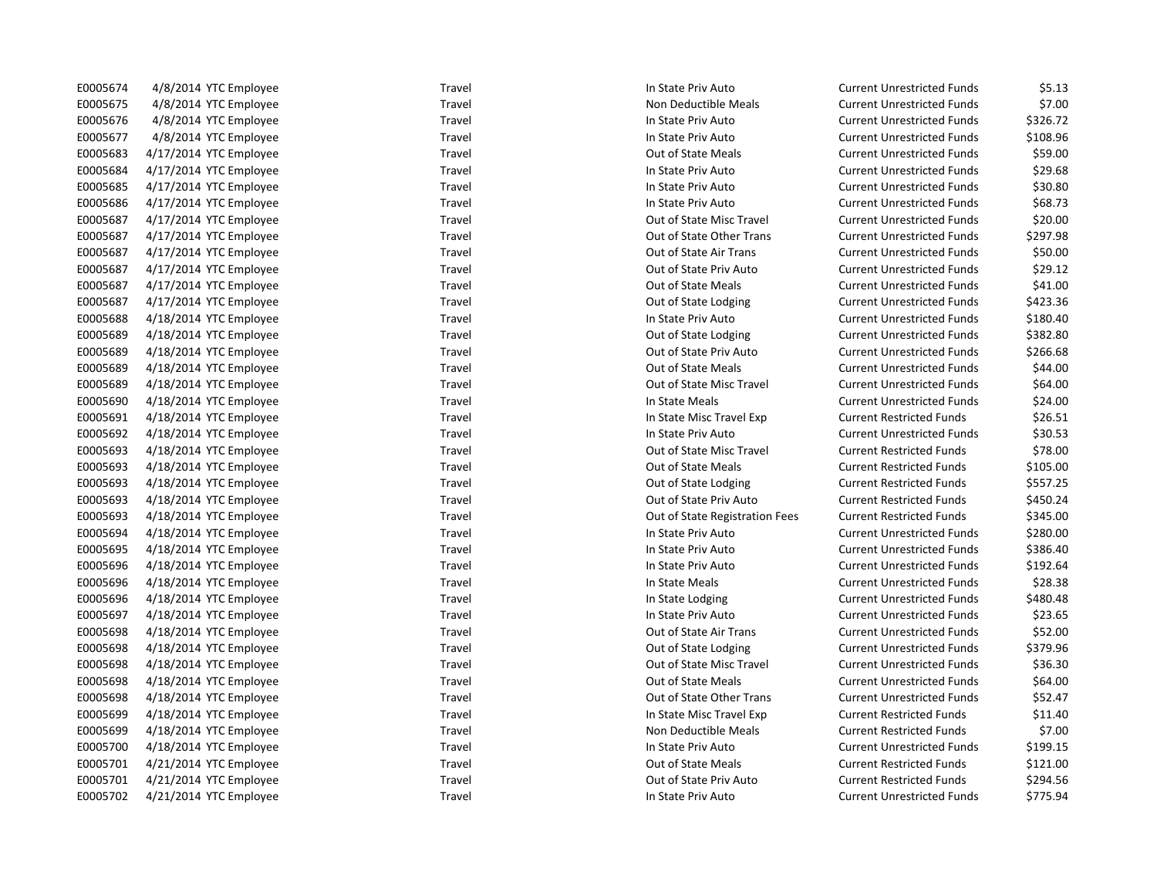| E0005674 | 4/8/2014 YTC Employee  | Travel | In State Priv Auto             | <b>Current Unrestricted Funds</b> | \$5.13   |
|----------|------------------------|--------|--------------------------------|-----------------------------------|----------|
| E0005675 | 4/8/2014 YTC Employee  | Travel | Non Deductible Meals           | <b>Current Unrestricted Funds</b> | \$7.00   |
| E0005676 | 4/8/2014 YTC Employee  | Travel | In State Priv Auto             | <b>Current Unrestricted Funds</b> | \$326.72 |
| E0005677 | 4/8/2014 YTC Employee  | Travel | In State Priv Auto             | <b>Current Unrestricted Funds</b> | \$108.96 |
| E0005683 | 4/17/2014 YTC Employee | Travel | Out of State Meals             | <b>Current Unrestricted Funds</b> | \$59.00  |
| E0005684 | 4/17/2014 YTC Employee | Travel | In State Priv Auto             | <b>Current Unrestricted Funds</b> | \$29.68  |
| E0005685 | 4/17/2014 YTC Employee | Travel | In State Priv Auto             | <b>Current Unrestricted Funds</b> | \$30.80  |
| E0005686 | 4/17/2014 YTC Employee | Travel | In State Priv Auto             | <b>Current Unrestricted Funds</b> | \$68.73  |
| E0005687 | 4/17/2014 YTC Employee | Travel | Out of State Misc Travel       | <b>Current Unrestricted Funds</b> | \$20.00  |
| E0005687 | 4/17/2014 YTC Employee | Travel | Out of State Other Trans       | <b>Current Unrestricted Funds</b> | \$297.98 |
| E0005687 | 4/17/2014 YTC Employee | Travel | Out of State Air Trans         | <b>Current Unrestricted Funds</b> | \$50.00  |
| E0005687 | 4/17/2014 YTC Employee | Travel | Out of State Priv Auto         | <b>Current Unrestricted Funds</b> | \$29.12  |
| E0005687 | 4/17/2014 YTC Employee | Travel | Out of State Meals             | <b>Current Unrestricted Funds</b> | \$41.00  |
| E0005687 | 4/17/2014 YTC Employee | Travel | Out of State Lodging           | <b>Current Unrestricted Funds</b> | \$423.36 |
| E0005688 | 4/18/2014 YTC Employee | Travel | In State Priv Auto             | <b>Current Unrestricted Funds</b> | \$180.40 |
| E0005689 | 4/18/2014 YTC Employee | Travel | Out of State Lodging           | <b>Current Unrestricted Funds</b> | \$382.80 |
| E0005689 | 4/18/2014 YTC Employee | Travel | Out of State Priv Auto         | <b>Current Unrestricted Funds</b> | \$266.68 |
| E0005689 | 4/18/2014 YTC Employee | Travel | Out of State Meals             | <b>Current Unrestricted Funds</b> | \$44.00  |
| E0005689 | 4/18/2014 YTC Employee | Travel | Out of State Misc Travel       | <b>Current Unrestricted Funds</b> | \$64.00  |
| E0005690 | 4/18/2014 YTC Employee | Travel | In State Meals                 | <b>Current Unrestricted Funds</b> | \$24.00  |
| E0005691 | 4/18/2014 YTC Employee | Travel | In State Misc Travel Exp       | <b>Current Restricted Funds</b>   | \$26.51  |
| E0005692 | 4/18/2014 YTC Employee | Travel | In State Priv Auto             | <b>Current Unrestricted Funds</b> | \$30.53  |
| E0005693 | 4/18/2014 YTC Employee | Travel | Out of State Misc Travel       | <b>Current Restricted Funds</b>   | \$78.00  |
| E0005693 | 4/18/2014 YTC Employee | Travel | Out of State Meals             | <b>Current Restricted Funds</b>   | \$105.00 |
| E0005693 | 4/18/2014 YTC Employee | Travel | Out of State Lodging           | <b>Current Restricted Funds</b>   | \$557.25 |
| E0005693 | 4/18/2014 YTC Employee | Travel | Out of State Priv Auto         | <b>Current Restricted Funds</b>   | \$450.24 |
| E0005693 | 4/18/2014 YTC Employee | Travel | Out of State Registration Fees | <b>Current Restricted Funds</b>   | \$345.00 |
| E0005694 | 4/18/2014 YTC Employee | Travel | In State Priv Auto             | <b>Current Unrestricted Funds</b> | \$280.00 |
| E0005695 | 4/18/2014 YTC Employee | Travel | In State Priv Auto             | <b>Current Unrestricted Funds</b> | \$386.40 |
| E0005696 | 4/18/2014 YTC Employee | Travel | In State Priv Auto             | <b>Current Unrestricted Funds</b> | \$192.64 |
| E0005696 | 4/18/2014 YTC Employee | Travel | In State Meals                 | <b>Current Unrestricted Funds</b> | \$28.38  |
| E0005696 | 4/18/2014 YTC Employee | Travel | In State Lodging               | <b>Current Unrestricted Funds</b> | \$480.48 |
| E0005697 | 4/18/2014 YTC Employee | Travel | In State Priv Auto             | <b>Current Unrestricted Funds</b> | \$23.65  |
| E0005698 | 4/18/2014 YTC Employee | Travel | Out of State Air Trans         | <b>Current Unrestricted Funds</b> | \$52.00  |
| E0005698 | 4/18/2014 YTC Employee | Travel | Out of State Lodging           | <b>Current Unrestricted Funds</b> | \$379.96 |
| E0005698 | 4/18/2014 YTC Employee | Travel | Out of State Misc Travel       | <b>Current Unrestricted Funds</b> | \$36.30  |
| E0005698 | 4/18/2014 YTC Employee | Travel | Out of State Meals             | <b>Current Unrestricted Funds</b> | \$64.00  |
| E0005698 | 4/18/2014 YTC Employee | Travel | Out of State Other Trans       | <b>Current Unrestricted Funds</b> | \$52.47  |
| E0005699 | 4/18/2014 YTC Employee | Travel | In State Misc Travel Exp       | <b>Current Restricted Funds</b>   | \$11.40  |
| E0005699 | 4/18/2014 YTC Employee | Travel | Non Deductible Meals           | <b>Current Restricted Funds</b>   | \$7.00   |
| E0005700 | 4/18/2014 YTC Employee | Travel | In State Priv Auto             | <b>Current Unrestricted Funds</b> | \$199.15 |
| E0005701 | 4/21/2014 YTC Employee | Travel | Out of State Meals             | <b>Current Restricted Funds</b>   | \$121.00 |
| E0005701 | 4/21/2014 YTC Employee | Travel | Out of State Priv Auto         | <b>Current Restricted Funds</b>   | \$294.56 |
| E0005702 | 4/21/2014 YTC Employee | Travel | In State Priv Auto             | <b>Current Unrestricted Funds</b> | \$775.94 |